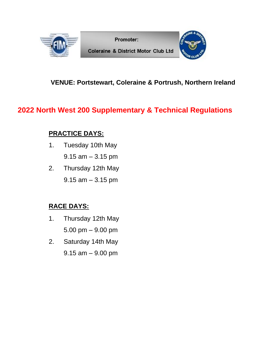

Promoter: **Coleraine & District Motor Club Ltd** 



# **VENUE: Portstewart, Coleraine & Portrush, Northern Ireland**

# **2022 North West 200 Supplementary & Technical Regulations**

# **PRACTICE DAYS:**

- 1. Tuesday 10th May 9.15 am – 3.15 pm
- 2. Thursday 12th May
	- 9.15 am 3.15 pm

# **RACE DAYS:**

- 1. Thursday 12th May 5.00 pm – 9.00 pm
- 2. Saturday 14th May 9.15 am – 9.00 pm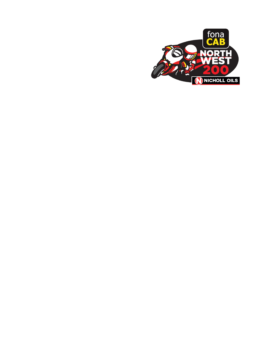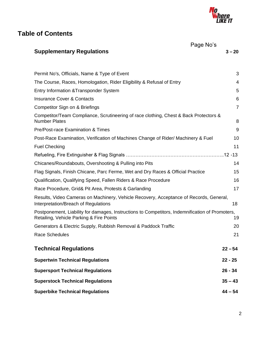

Page No's

# **Table of Contents**

| <b>Supplementary Regulations</b>                                                                                                            | $3 - 20$  |
|---------------------------------------------------------------------------------------------------------------------------------------------|-----------|
| Permit No's, Officials, Name & Type of Event                                                                                                | 3         |
| The Course, Races, Homologation, Rider Eligibility & Refusal of Entry                                                                       | 4         |
| Entry Information & Transponder System                                                                                                      | 5         |
| <b>Insurance Cover &amp; Contacts</b>                                                                                                       | 6         |
| <b>Competitor Sign on &amp; Briefings</b>                                                                                                   | 7         |
| Competitor/Team Compliance, Scrutineering of race clothing, Chest & Back Protectors &<br><b>Number Plates</b>                               | 8         |
| Pre/Post-race Examination & Times                                                                                                           | 9         |
| Post-Race Examination, Verification of Machines Change of Rider/ Machinery & Fuel                                                           | 10        |
| <b>Fuel Checking</b>                                                                                                                        | 11        |
|                                                                                                                                             |           |
| Chicanes/Roundabouts, Overshooting & Pulling into Pits                                                                                      | 14        |
| Flag Signals, Finish Chicane, Parc Ferme, Wet and Dry Races & Official Practice                                                             | 15        |
| Qualification, Qualifying Speed, Fallen Riders & Race Procedure                                                                             | 16        |
| Race Procedure, Grid& Pit Area, Protests & Garlanding                                                                                       | 17        |
| Results, Video Cameras on Machinery, Vehicle Recovery, Acceptance of Records, General,<br>Interpretation/Breach of Regulations              | 18        |
| Postponement, Liability for damages, Instructions to Competitors, Indemnification of Promoters,<br>Retailing, Vehicle Parking & Fire Points | 19        |
| Generators & Electric Supply, Rubbish Removal & Paddock Traffic                                                                             | 20        |
| <b>Race Schedules</b>                                                                                                                       | 21        |
| <b>Technical Regulations</b>                                                                                                                | $22 - 54$ |
| <b>Supertwin Technical Regulations</b>                                                                                                      | $22 - 25$ |
| <b>Supersport Technical Regulations</b>                                                                                                     | $26 - 34$ |
| <b>Superstock Technical Regulations</b>                                                                                                     | $35 - 43$ |
| <b>Superbike Technical Regulations</b>                                                                                                      | $44 - 54$ |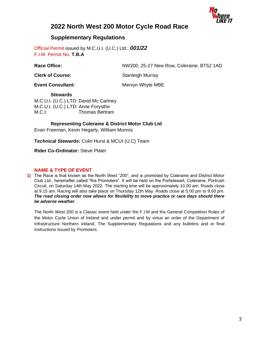

# **2022 North West 200 Motor Cycle Road Race**

# **Supplementary Regulations**

<span id="page-3-0"></span>Official Permit issued by M.C.U.I. (U.C.) Ltd.: *001/22* F.I.M. Permit No. **T.B.A**

Race Office: NW200, 25-27 New Row, Coleraine, BT52 1AD

**Clerk of Course:** Stanleigh Murray

**Event Consultant:** Mervyn Whyte MBE

**Stewards** M.C.U.I. (U.C.) LTD: David Mc Cartney M.C.U.I. (U.C.) LTD: Anne Forysthe M.C.I: Thomas Bertram

**Representing Coleraine & District Motor Club Ltd**

Evan Freeman, Kevin Hegarty, William Munnis

**Technical Stewards:** Colin Hurst & MCUI (U.C) Team

**Rider Co-Ordinator:** Steve Plater

# **NAME & TYPE OF EVENT**

**1)** The Race is that known as the North West "200", and is promoted by Coleraine and District Motor Club Ltd., hereinafter called "the Promoters". It will be held on the Portstewart, Coleraine, Portrush Circuit, on Saturday 14th May 2022. The starting time will be approximately 10.00 am. Roads close at 9.15 am. Racing will also take place on Thursday 12th May. Roads close at 5.00 pm to 9.00 pm. *The road closing order now allows for flexibility to move practice or race days should there be adverse weather.*

The North West 200 is a Classic event held under the F.I.M and the General Competition Rules of the Motor Cycle Union of Ireland and under permit and by virtue an order of the Department of Infrastructure Northern Ireland. The Supplementary Regulations and any bulletins and or final instructions issued by Promoters.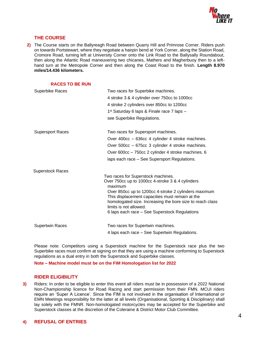

# **THE COURSE**

**2)** The Course starts on the Ballyreagh Road between Quarry Hill and Primrose Corner. Riders push on towards Portstewart, where they negotiate a hairpin bend at York Corner, along the Station Road, Cromore Road, turning left at University Corner onto the Link Road to the Ballysally Roundabout, then along the Atlantic Road maneuvering two chicanes, Mathers and Magherbuoy then to a lefthand turn at the Metropole Corner and then along the Coast Road to the finish. **Length 8.970 miles/14.436 kilometers.**

| <b>RACES TO BE RUN</b>  |                                                                                     |
|-------------------------|-------------------------------------------------------------------------------------|
| <b>Superbike Races</b>  | Two races for Superbike machines.                                                   |
|                         | 4 stroke 3 & 4 cylinder over 750cc to 1000cc                                        |
|                         | 4 stroke 2 cylinders over 850cc to 1200cc                                           |
|                         | 1 <sup>st</sup> Saturday 6 laps & Finale race 7 laps -                              |
|                         | see Superbike Regulations.                                                          |
| <b>Supersport Races</b> | Two races for Supersport machines.                                                  |
|                         | Over 400cc - 636cc 4 cylinder 4 stroke machines.                                    |
|                         | Over 500cc - 675cc 3 cylinder 4 stroke machines.                                    |
|                         | Over 600cc - 750cc 2 cylinder 4 stroke machines. 6                                  |
|                         | laps each race – See Supersport Regulations.                                        |
| <b>Superstock Races</b> |                                                                                     |
|                         | Two races for Superstock machines.                                                  |
|                         | Over 750cc up to 1000cc 4-stroke 3 & 4 cylinders<br>maximum                         |
|                         | Over 850cc up to 1200cc 4-stroke 2 cylinders maximum                                |
|                         | This displacement capacities must remain at the                                     |
|                         | homologated size. Increasing the bore size to reach class<br>limits is not allowed. |
|                         | 6 laps each race - See Superstock Regulations                                       |
| <b>Supertwin Races</b>  | Two races for Supertwin machines.                                                   |
|                         | 4 laps each race - See Supertwin Regulations.                                       |

Please note: Competitors using a Superstock machine for the Superstock race plus the two Superbike races must confirm at signing on that they are using a machine conforming to Superstock regulations as a dual entry in both the Superstock and Superbike classes.

**Note – Machine model must be on the FIM Homologation list for 2022**

### **RIDER ELIGIBILITY**

**3)** Riders: In order to be eligible to enter this event all riders must be in possession of a 2022 National Non-Championship licence for Road Racing and start permission from their FMN. MCUI riders require an 'Super A Licence'. Since the FIM is not involved in the organisation of International or EMN Meetings responsibility for the latter at all levels (Organisational, Sporting & Disciplinary) shall lay solely with the FMNR. Non-homologated motorcycles may be accepted for the Superbike and Superstock classes at the discretion of the Coleraine & District Motor Club Committee.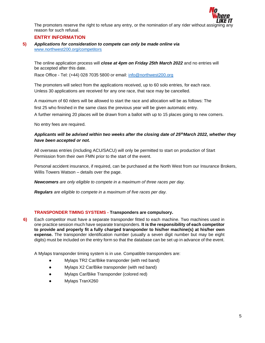

The promoters reserve the right to refuse any entry, or the nomination of any rider without assigning any reason for such refusal.

#### **ENTRY INFORMATION**

**5)** *Applications for consideration to compete can only be made online via* [www.northwest200.org/competitors](http://www.northwest200.org/competitors)

The online application process will *close at 4pm on Friday 25th March 2022* and no entries will be accepted after this date.

Race Office - Tel: (+44) 028 7035 5800 or email: [info@northwest200.org](mailto:info@northwest200.org)

The promoters will select from the applications received, up to 60 solo entries, for each race. Unless 30 applications are received for any one race, that race may be cancelled.

A maximum of 60 riders will be allowed to start the race and allocation will be as follows: The first 25 who finished in the same class the previous year will be given automatic entry. A further remaining 20 places will be drawn from a ballot with up to 15 places going to new comers.

No entry fees are required.

### *Applicants will be advised within two weeks after the closing date of 25thMarch 2022, whether they have been accepted or not.*

All overseas entries (including ACU/SACU) will only be permitted to start on production of Start Permission from their own FMN prior to the start of the event.

Personal accident insurance, if required, can be purchased at the North West from our Insurance Brokers, Willis Towers Watson – details over the page.

*Newcomers are only eligible to compete in a maximum of three races per day.*

*Regulars are eligible to compete in a maximum of five races per day.*

#### **TRANSPONDER TIMING SYSTEMS - Transponders are compulsory.**

**6)** Each competitor must have a separate transponder fitted to each machine. Two machines used in one practice session much have separate transponders. **It is the responsibility of each competitor to provide and properly fit a fully charged transponder to his/her machine(s) at his/her own expense.** The transponder identification number (usually a seven digit number but may be eight digits) must be included on the entry form so that the database can be set up in advance of the event.

A Mylaps transponder timing system is in use. Compatible transponders are:

- Mylaps TR2 Car/Bike transponder (with red band)
- Mylaps X2 Car/Bike transponder (with red band)
- Mylaps Car/Bike Transponder (colored red)
- Mylaps TranX260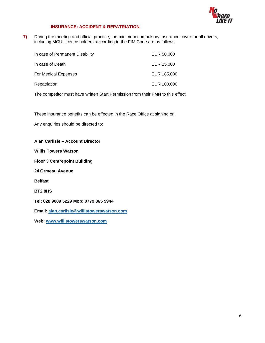

#### **INSURANCE: ACCIDENT & REPATRIATION**

**7)** During the meeting and official practice, the minimum compulsory insurance cover for all drivers, including MCUI licence holders, according to the FIM Code are as follows:

| In case of Permanent Disability | EUR 50,000  |
|---------------------------------|-------------|
| In case of Death                | EUR 25,000  |
| For Medical Expenses            | EUR 185,000 |
| Repatriation                    | EUR 100,000 |

The competitor must have written Start Permission from their FMN to this effect.

These insurance benefits can be effected in the Race Office at signing on.

Any enquiries should be directed to:

**Alan Carlisle – Account Director** 

**Willis Towers Watson**

**Floor 3 Centrepoint Building** 

**24 Ormeau Avenue**

**Belfast** 

**BT2 8HS**

**Tel: 028 9089 5229 Mob: 0779 865 5944**

**Email: [alan.carlisle@willistowerswatson.com](mailto:alan.carlisle@willistowerswatson.com)**

**Web: [www.willistowerswatson.com](http://www.willistowerswatson.com/)**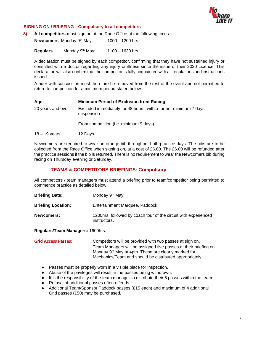

#### **SIGNING ON / BRIEFING – Compulsory to all competitors**

**8) All competitors** must sign on at the Race Office at the following times:

**Newcomers** Monday 9<sup>th</sup> May: 1000 – 1200 hrs

**Regulars** Monday 9th May: 1100 – 1630 hrs

A declaration must be signed by each competitor, confirming that they have not sustained injury or consulted with a doctor regarding any injury or illness since the issue of their 2020 Licence. This declaration will also confirm that the competitor is fully acquainted with all regulations and instructions issued.

A rider with concussion must therefore be removed from the rest of the event and not permitted to return to competition for a minimum period stated below:

| Age               | Minimum Period of Exclusion from Racing                                        |
|-------------------|--------------------------------------------------------------------------------|
| 20 years and over | Excluded immediately for 48 hours, with a further minimum 7 days<br>suspension |
|                   | From competition (i.e. minimum 9 days)                                         |
| $18 - 19$ years   | 12 Days                                                                        |

Newcomers are required to wear an orange bib throughout both practice days. The bibs are to be collected from the Race Office when signing on, at a cost of £6.00. The £6.00 will be refunded after the practice sessions if the bib is returned. There is no requirement to wear the Newcomers bib during racing on Thursday evening or Saturday.

#### **TEAMS & COMPETITORS BRIEFINGS: Compulsory**

All competitors / team managers must attend a briefing prior to team/competitor being permitted to commence practice as detailed below.

| <b>Briefing Date:</b>     | Monday 9 <sup>th</sup> May                                                      |
|---------------------------|---------------------------------------------------------------------------------|
| <b>Briefing Location:</b> | Entertainment Marquee, Paddock                                                  |
| <b>Newcomers:</b>         | 1200hrs, followed by coach tour of the circuit with experienced<br>instructors. |

**Regulars/Team Managers:** 1600hrs.

**Grid Access Passes:** Competitors will be provided with two passes at sign on. Team Managers will be assigned five passes at their briefing on Monday 9th May at 4pm. These are clearly marked for Mechanics/Team and should be distributed appropriately.

- Passes must be properly worn in a visible place for inspection.
- Abuse of the privileges will result in the passes being withdrawn.
- It is the responsibility of the team manager to distribute their 5 passes within the team.
- Refusal of additional passes often offends.
- Additional Team/Sponsor Paddock passes (£15 each) and maximum of 4 additional Grid passes (£50) may be purchased.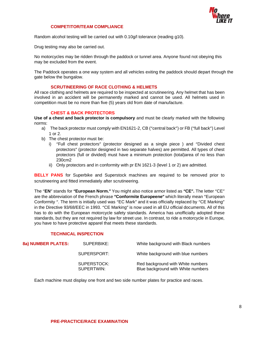

#### **COMPETITOR/TEAM COMPLIANCE**

Random alcohol testing will be carried out with 0.10g/l tolerance (reading g10).

Drug testing may also be carried out.

No motorcycles may be ridden through the paddock or tunnel area. Anyone found not obeying this may be excluded from the event.

The Paddock operates a one way system and all vehicles exiting the paddock should depart through the gate below the bungalow.

#### **SCRUTINEERING OF RACE CLOTHING & HELMETS**

All race clothing and helmets are required to be inspected at scrutineering. Any helmet that has been involved in an accident will be permanently marked and cannot be used. All helmets used in competition must be no more than five (5) years old from date of manufacture.

#### **CHEST & BACK PROTECTORS**

**Use of a chest and back protector is compulsory** and must be clearly marked with the following norms:

- a) The back protector must comply with EN1621-2, CB ("central back") or FB ("full back") Level 1 or 2.
- b) The chest protector must be:
	- i) "Full chest protectors" (protector designed as a single piece ) and "Divided chest protectors" (protector designed in two separate halves) are permitted. All types of chest protectors (full or divided) must have a minimum protection (total)area of no less than 230cm2
	- ii) Only protectors and in conformity with pr EN 1621-3 (level 1 or 2) are admitted.

**BELLY PANS** for Superbike and Superstock machines are required to be removed prior to scrutineering and fitted immediately after scrutineering.

The "**EN**" stands for **"European Norm."** You might also notice armor listed as **"CE".** The letter "CE" are the abbreviation of the French phrase **"Conformite Europeene"** which literally mean "European Conformity ". The term is initially used was "EC Mark" and it was officially replaced by "CE Marking" in the Directive 93/68/EEC in 1993. "CE Marking" is now used in all EU official documents. All of this has to do with the European motorcycle safety standards. America has unofficially adopted these standards, but they are not required by law for street use. In contrast, to ride a motorcycle in Europe, you have to have protective apparel that meets these standards.

#### **TECHNICAL INSPECTION**

| 8a) NUMBER PLATES: | SUPERBIKE:                | White background with Black numbers                                     |
|--------------------|---------------------------|-------------------------------------------------------------------------|
|                    | SUPERSPORT:               | White background with blue numbers                                      |
|                    | SUPERSTOCK:<br>SUPERTWIN: | Red background with White numbers<br>Blue background with White numbers |

Each machine must display one front and two side number plates for practice and races.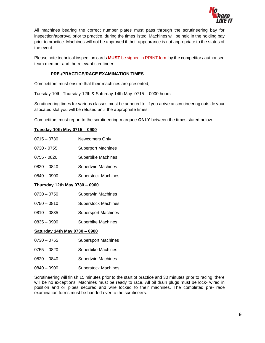

All machines bearing the correct number plates must pass through the scrutineering bay for inspection/approval prior to practice, during the times listed. Machines will be held in the holding bay prior to practice. Machines will not be approved if their appearance is not appropriate to the status of the event.

Please note technical inspection cards **MUST** be signed in PRINT form by the competitor / authorised team member and the relevant scrutineer.

#### **PRE-/PRACTICE/RACE EXAMINATION TIMES**

Competitors must ensure that their machines are presented;

Tuesday 10th, Thursday 12th & Saturday 14th May: 0715 – 0900 hours

Scrutineering times for various classes must be adhered to. If you arrive at scrutineering outside your allocated slot you will be refused until the appropriate times.

Competitors must report to the scrutineering marquee **ONLY** between the times stated below.

#### **Tuesday 10th May 0715 – 0900**

| $0715 - 0730$                        | Newcomers Only             |  |
|--------------------------------------|----------------------------|--|
| 0730 - 0755                          | <b>Superport Machines</b>  |  |
| 0755 - 0820                          | Superbike Machines         |  |
| 0820 - 0840                          | <b>Supertwin Machines</b>  |  |
| $0840 - 0900$                        | <b>Superstock Machines</b> |  |
| <u>Thursday 12th May 0730 - 0900</u> |                            |  |
| 0730 - 0750                          | <b>Supertwin Machines</b>  |  |
| $0750 - 0810$                        | <b>Superstock Machines</b> |  |
| $0810 - 0835$                        | <b>Supersport Machines</b> |  |
| $0835 - 0900$                        | <b>Superbike Machines</b>  |  |
| Saturday 14th May 0730 - 0900        |                            |  |
| 0730 - 0755                          | <b>Supersport Machines</b> |  |
| $0755 - 0820$                        | <b>Superbike Machines</b>  |  |
| $0820 - 0840$                        | <b>Supertwin Machines</b>  |  |

0840 – 0900 Superstock Machines

Scrutineering will finish 15 minutes prior to the start of practice and 30 minutes prior to racing, there will be no exceptions. Machines must be ready to race. All oil drain plugs must be lock- wired in position and oil pipes secured and wire locked to their machines. The completed pre- race examination forms must be handed over to the scrutineers.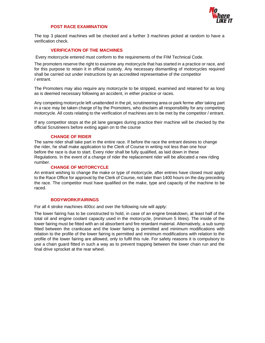

#### **POST RACE EXAMINATION**

The top 3 placed machines will be checked and a further 3 machines picked at random to have a verification check.

#### **VERIFICATION OF THE MACHINES**

Every motorcycle entered must conform to the requirements of the FIM Technical Code.

The promoters reserve the right to examine any motorcycle that has started in a practice or race, and for this purpose to retain it in official custody. Any necessary dismantling of motorcycles required shall be carried out under instructions by an accredited representative of the competitor / entrant.

The Promoters may also require any motorcycle to be stripped, examined and retained for as long as is deemed necessary following an accident, in either practice or races.

Any competing motorcycle left unattended in the pit, scrutineering area or park ferme after taking part in a race may be taken charge of by the Promoters, who disclaim all responsibility for any competing motorcycle. All costs relating to the verification of machines are to be met by the competitor / entrant.

If any competitor stops at the pit lane garages during practice their machine will be checked by the official Scrutineers before exiting again on to the course

#### **CHANGE OF RIDER**

The same rider shall take part in the entire race. If before the race the entrant desires to change the rider, he shall make application to the Clerk of Course in writing not less than one hour before the race is due to start. Every rider shall be fully qualified, as laid down in these Regulations. In the event of a change of rider the replacement rider will be allocated a new riding number.

### **CHANGE OF MOTORCYCLE**

An entrant wishing to change the make or type of motorcycle, after entries have closed must apply to the Race Office for approval by the Clerk of Course, not later than 1400 hours on the day preceding the race. The competitor must have qualified on the make, type and capacity of the machine to be raced.

#### **BODYWORK/FAIRINGS**

For all 4 stroke machines 400cc and over the following rule will apply:

The lower fairing has to be constructed to hold, in case of an engine breakdown, at least half of the total oil and engine coolant capacity used in the motorcycle, (minimum 5 litres). The inside of the lower fairing must be fitted with an oil absorbent and fire retardant material. Alternatively, a sub sump fitted between the crankcase and the lower fairing is permitted and minimum modifications with relation to the profile of the lower fairing is permitted and minimum modifications with relation to the profile of the lower fairing are allowed, only to fulfil this rule. For safety reasons it is compulsory to use a chain guard fitted in such a way as to prevent trapping between the lower chain run and the final drive sprocket at the rear wheel.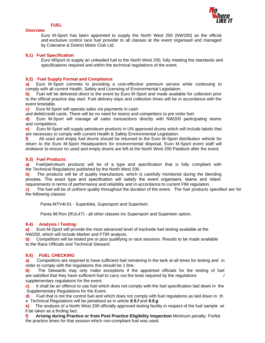

#### **FUEL**

#### **Overview**

Euro M-Sport has been appointed to supply the North West 200 (NW200) as the official and exclusive control race fuel provider to all classes at the event organised and managed by Coleraine & District Motor Club Ltd.

#### **9.1) Fuel Specification**:

Euro MSport to supply an unleaded fuel to the North West 200, fully meeting the standards and specifications required and within the technical regulations of the event.

#### **9.2) Fuel Supply Format and Compliance**:

**a)** Euro M-Sport commits to providing a cost-effective premium service while continuing to comply with all current Health, Safety and Licensing of Environmental Legislation.

**b)** Fuel will be delivered direct to the event by Euro M-Sport and made available for collection prior to the official practice day start. Fuel delivery days and collection times will be in accordance with the event timetable.

*c)* Euro M-Sport will operate sales via payments in cash

and debit/credit cards. There will be no need for teams and competitors to pre order fuel.

**d)** Euro M-Sport will manage all sales transactions directly with NW200 participating teams and competitors.

**e)** Euro M-Sport will supply petroleum products in UN approved drums which will include labels that are necessary to comply with current Health & Safety Environmental Legislation.

**f)** All used and empty fuel drums should be returned to the Euro M-Sport distribution vehicle for return to the Euro M-Sport Headquarters for environmental disposal, Euro M-Sport event staff will endeavor to ensure no used and empty drums are left at the North West 200 Paddock after the event.

#### **9.3) Fuel Products**:

**a)** Fuel/petroleum products will be of a type and specification that is fully compliant with the Technical Regulations published by the North West 200.

**b)** The products will be of quality manufacture, which is carefully monitored during the blending process. The exact type and specification will satisfy the event organisers, teams and riders' requirements in terms of performance and reliability and in accordance to current FIM regulation.

**c)** The fuel will be of uniform quality throughout the duration of the event. The fuel products specified are for the following classes:

Panta MTV4t-01 - Superbike, Supersport and Supertwin.

Panta 98 Ron (RUL4T) - all other classes inc Supersport and Supertwin option.

#### **9.4) Analysis / Testing:**

**a)** Euro M-Sport will provide the most advanced level of trackside fuel testing available at the NW200, which will include Marker and FTIR analysis.

**b)** Competitors will be tested pre or post qualifying or race sessions. Results to be made available to the Race Officials and Technical Steward.

#### **9.5) FUEL CHECKING**

**a)** Competitors are required to have sufficient fuel remaining in the tank at all times for testing and in order to comply with the regulations this should be 1 litre.

**b)** The Stewards may only make exceptions if the appointed officials for the testing of fuel are satisfied that they have sufficient fuel to carry out the tests required by the regulations  $\frac{1}{2}$ supplementary regulations for the event.

**c)** It shall be an offence to use fuel which does not comply with the fuel specification laid down in the Supplementary Regulations for the Event.

**d)** Fuel that is not the control fuel and which does not comply with fuel regulations as laid down in th e Technical Regulations will be penalised as in article *9.5.f* and *9.5.g*

**e)** The analysis of a North West 200 officially approved testing facility in respect of the fuel sample wi ll be taken as a finding fact.

**f) Arising during Practice or from Post Practice Eligibility Inspection** Minimum penalty: Forfeit the practice times for that session which non-compliant fuel was used.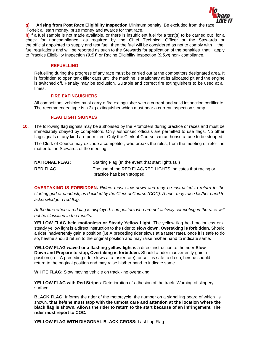

**g) Arising from Post Race Eligibility Inspection** Minimum penalty: Be excluded from the race. Forfeit all start money, prize money and awards for that race.

**h)** If a fuel sample is not made available, or there is insufficient fuel for a test(s) to be carried out for a check for noncompliance, as required by the Chief Technical Officer or the Stewards or the official appointed to supply and test fuel, then the fuel will be considered as not to comply with the fuel regulations and will be reported as such to the Stewards for application of the penalties that apply to Practice Eligibility Inspection (*9.5.f*) or Racing Eligibility Inspection (*9.5.g*) non- compliance.

#### **REFUELLING**

Refuelling during the progress of any race must be carried out at the competitors designated area. It is forbidden to open tank filler caps until the machine is stationary at its allocated pit and the engine is switched off. Penalty may be exclusion. Suitable and correct fire extinguishers to be used at all times.

#### **FIRE EXTINGUISHERS**

All competitors' vehicles must carry a fire extinguisher with a current and valid inspection certificate. The recommended type is a 2kg extinguisher which must bear a current inspection stamp.

#### **FLAG LIGHT SIGNALS**

**10.** The following flag signals may be authorised by the Promoters during practice or races and must be immediately obeyed by competitors. Only authorised officials are permitted to use flags. No other flag signals of any kind are permitted. Only the Clerk of Course can authorise a race to be stopped.

The Clerk of Course may exclude a competitor, who breaks the rules, from the meeting or refer the matter to the Stewards of the meeting.

| <b>NATIONAL FLAG:</b> | Starting Flag (In the event that start lights fail)         |
|-----------------------|-------------------------------------------------------------|
| <b>RED FLAG:</b>      | The use of the RED FLAG/RED LIGHTS indicates that racing or |
|                       | practice has been stopped.                                  |

**OVERTAKING IS FORBIDDEN.** *Riders must slow down and may be instructed to return to the starting grid or paddock, as decided by the Clerk of Course (COC). A rider may raise his/her hand to acknowledge a red flag.*

*At the time when a red flag is displayed, competitors who are not actively competing in the race will not be classified in the results.*

**YELLOW FLAG held motionless or Steady Yellow Light**. The yellow flag held motionless or a steady yellow light is a direct instruction to the rider to **slow down. Overtaking is forbidden.** Should a rider inadvertently gain a position (i.e A preceding rider slows at a faster rate), once it is safe to do so, he/she should return to the original position and may raise his/her hand to indicate same.

**YELLOW FLAG waved or a flashing yellow light** is a direct instruction to the rider **Slow Down and Prepare to stop, Overtaking is forbidden.** Should a rider inadvertently gain a position (i.e., A preceding rider slows at a faster rate), once it is safe to do so, he/she should return to the original position and may raise his/her hand to indicate same.

**WHITE FLAG:** Slow moving vehicle on track - no overtaking

**YELLOW FLAG with Red Stripes**: Deterioration of adhesion of the track. Warning of slippery surface.

**BLACK FLAG.** Informs the rider of the motorcycle, the number on a signalling board of which is shown, **that he/she must stop with the utmost care and attention at the location where the black flag is shown. Allows the rider to return to the start because of an infringement. The rider must report to COC.**

**YELLOW FLAG WITH DIAGONAL BLACK CROSS:** Last Lap Flag.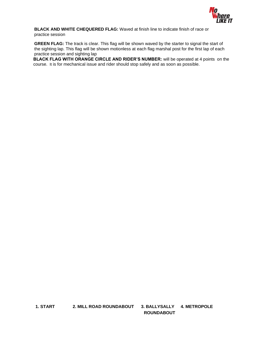

**BLACK AND WHITE CHEQUERED FLAG:** Waved at finish line to indicate finish of race or practice session

**GREEN FLAG:** The track is clear. This flag will be shown waved by the starter to signal the start of the sighting lap. This flag will be shown motionless at each flag marshal post for the first lap of each practice session and sighting lap

**BLACK FLAG WITH ORANGE CIRCLE AND RIDER'S NUMBER:** will be operated at 4 points on the course. It is for mechanical issue and rider should stop safely and as soon as possible.

**1. START 2. MILL ROAD ROUNDABOUT 3. BALLYSALLY 4. METROPOLE ROUNDABOUT**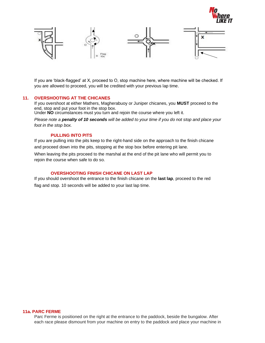



If you are 'black-flagged' at X, proceed to O, stop machine here, where machine will be checked. If you are allowed to proceed, you will be credited with your previous lap time.

#### **11. OVERSHOOTING AT THE CHICANES**

If you overshoot at either Mathers, Magherabuoy or Juniper chicanes, you **MUST** proceed to the end, stop and put your foot in the stop box.

Under **NO** circumstances must you turn and rejoin the course where you left it.

*Please note a penalty of 10 seconds will be added to your time if you do not stop and place your foot in the stop box.*

#### **PULLING INTO PITS**

If you are pulling into the pits keep to the right-hand side on the approach to the finish chicane and proceed down into the pits, stopping at the stop box before entering pit lane.

When leaving the pits proceed to the marshal at the end of the pit lane who will permit you to rejoin the course when safe to do so.

#### **OVERSHOOTING FINISH CHICANE ON LAST LAP**

If you should overshoot the entrance to the finish chicane on the **last lap**, proceed to the red flag and stop. 10 seconds will be added to your last lap time.

#### **11a. PARC FERME**

Parc Ferme is positioned on the right at the entrance to the paddock, beside the bungalow. After each race please dismount from your machine on entry to the paddock and place your machine in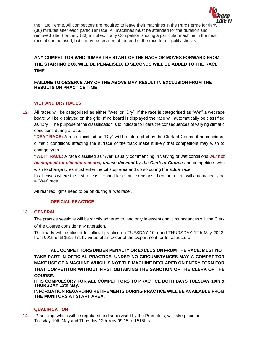

the Parc Ferme. All competitors are required to leave their machines in the Parc Ferme for thirty (30) minutes after each particular race. All machines must be attended for the duration and removed after the thirty (30) minutes. If any Competitor is using a particular machine in the next race, it can be used, but it may be recalled at the end of the race for eligibility checks.

# **ANY COMPETITOR WHO JUMPS THE START OF THE RACE OR MOVES FORWARD FROM THE STARTING BOX WILL BE PENALISED. 10 SECONDS WILL BE ADDED TO THE RACE TIME.**

# **FAILURE TO OBSERVE ANY OF THE ABOVE MAY RESULT IN EXCLUSION FROM THE RESULTS OR PRACTICE TIME**

#### **WET AND DRY RACES**

**12.** All races will be categorised as either "Wet" or "Dry". If the race is categorised as "Wet" a wet race board will be displayed on the grid. If no board is displayed the race will automatically be classified as "Dry". The purpose of the classification is to indicate to riders the consequences of varying climatic conditions during a race.

**"DRY" RACE:** A race classified as "Dry" will be interrupted by the Clerk of Course if he considers climatic conditions affecting the surface of the track make it likely that competitors may wish to change tyres.

**"WET" RACE**: A race classified as "Wet" usually commencing in varying or wet conditions *will not*  **be stopped for climatic reasons, unless deemed by the Clerk of Course** and competitors who wish to change tyres must enter the pit stop area and do so during the actual race.

In all cases where the first race is stopped for climatic reasons, then the restart will automatically be a "Wet" race.

All rear red lights need to be on during a 'wet race'.

#### **OFFICIAL PRACTICE**

#### **13. GENERAL**

The practice sessions will be strictly adhered to, and only in exceptional circumstances will the Clerk

of the Course consider any alteration.

The roads will be closed for official practice on TUESDAY 10th and THURSDAY 12th May 2022, from 0915 until 1515 hrs by virtue of an Order of the Department for Infrastructure.

**ALL COMPETITORS UNDER PENALTY OR EXCLUSION FROM THE RACE, MUST NOT TAKE PART IN OFFICIAL PRACTICE. UNDER NO CIRCUMSTANCES MAY A COMPETITOR MAKE USE OF A MACHINE WHICH IS NOT THE MACHINE DECLARED ON ENTRY FORM FOR THAT COMPETITOR WITHOUT FIRST OBTAINING THE SANCTION OF THE CLERK OF THE COURSE.**

**IT IS COMPULSORY FOR ALL COMPETITORS TO PRACTICE BOTH DAYS TUESDAY 10th & THURSDAY 12th May.**

**INFORMATION REGARDING RETIREMENTS DURING PRACTICE WILL BE AVAILABLE FROM THE MONITORS AT START AREA.**

# **QUALIFICATION**

**14.** Practicing, which will be regulated and supervised by the Promoters, will take place on Tuesday 10th May and Thursday 12th May 09.15 to 1515hrs.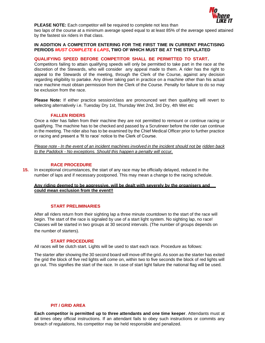

**PLEASE NOTE:** Each competitor will be required to complete not less than two laps of the course at a minimum average speed equal to at least 85% of the average speed attained by the fastest six riders in that class.

#### **IN ADDITION A COMPETITOR ENTERING FOR THE FIRST TIME IN CURRENT PRACTISING PERIODS** *MUST COMPLETE 6 LAPS***, TWO OF WHICH MUST BE AT THE STIPULATED**

#### **QUALIFYING SPEED BEFORE COMPETITOR SHALL BE PERMITTED TO START.**

Competitors failing to attain qualifying speeds will only be permitted to take part in the race at the discretion of the Stewards, who will consider any appeal made to them. A rider has the right to appeal to the Stewards of the meeting, through the Clerk of the Course, against any decision regarding eligibility to partake. Any driver taking part in practice on a machine other than his actual race machine must obtain permission from the Clerk of the Course. Penalty for failure to do so may be exclusion from the race.

**Please Note:** If either practice session/class are pronounced wet then qualifying will revert to selecting alternatively i.e. Tuesday Dry 1st, Thursday Wet 2nd, 3rd Dry, 4th Wet etc

#### **FALLEN RIDERS**

Once a rider has fallen from their machine they are not permitted to remount or continue racing or qualifying. The machine has to be checked and passed by a Scrutineer before the rider can continue in the meeting. The rider also has to be examined by the Chief Medical Officer prior to further practice or racing and present a 'fit to race' notice to the Clerk of Course.

*Please note - In the event of an incident machines involved in the incident should not be ridden back to the Paddock - No exceptions. Should this happen a penalty will occur.*

#### **RACE PROCEDURE**

**15.** In exceptional circumstances, the start of any race may be officially delayed, reduced in the number of laps and if necessary postponed. This may mean a change to the racing schedule.

**Any riding deemed to be aggressive, will be dealt with severely by the organisers and could mean exclusion from the event!!**

#### **START PRELIMINARIES**

After all riders return from their sighting lap a three minute countdown to the start of the race will begin. The start of the race is signaled by use of a start light system. No sighting lap, no race! Classes will be started in two groups at 30 second intervals. (The number of groups depends on the number of starters).

#### **START PROCEDURE**

All races will be clutch start. Lights will be used to start each race. Procedure as follows:

The starter after showing the 30 second board will move off the grid. As soon as the starter has exited the grid the block of five red lights will come on, within two to five seconds the block of red lights will go out. This signifies the start of the race. In case of start light failure the national flag will be used.

#### **PIT / GRID AREA**

**Each competitor is permitted up to three attendants and one time keeper**. Attendants must at all times obey official instructions. If an attendant fails to obey such instructions or commits any breach of regulations, his competitor may be held responsible and penalized.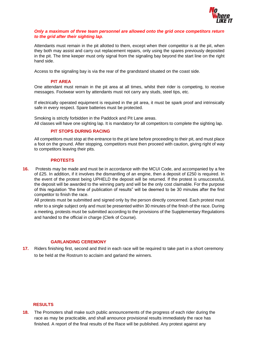

#### *Only a maximum of three team personnel are allowed onto the grid once competitors return to the grid after their sighting lap*.

Attendants must remain in the pit allotted to them, except when their competitor is at the pit, when they both may assist and carry out replacement repairs, only using the spares previously deposited in the pit. The time keeper must only signal from the signaling bay beyond the start line on the right hand side.

Access to the signaling bay is via the rear of the grandstand situated on the coast side.

#### **PIT AREA**

One attendant must remain in the pit area at all times, whilst their rider is competing, to receive messages. Footwear worn by attendants must not carry any studs, steel tips, etc.

If electrically operated equipment is required in the pit area, it must be spark proof and intrinsically safe in every respect. Spare batteries must be protected.

Smoking is strictly forbidden in the Paddock and Pit Lane areas. All classes will have one sighting lap. It is mandatory for all competitors to complete the sighting lap.

#### **PIT STOPS DURING RACING**

All competitors must stop at the entrance to the pit lane before proceeding to their pit, and must place a foot on the ground. After stopping, competitors must then proceed with caution, giving right of way to competitors leaving their pits.

#### **PROTESTS**

**16.** Protests may be made and must be in accordance with the MCUI Code, and accompanied by a fee of £25. In addition, if it involves the dismantling of an engine, then a deposit of £250 is required. In the event of the protest being UPHELD the deposit will be returned. If the protest is unsuccessful, the deposit will be awarded to the winning party and will be the only cost claimable. For the purpose of this regulation "the time of publication of results" will be deemed to be 30 minutes after the first competitor to finish the race.

All protests must be submitted and signed only by the person directly concerned. Each protest must refer to a single subject only and must be presented within 30 minutes of the finish of the race. During a meeting, protests must be submitted according to the provisions of the Supplementary Regulations and handed to the official in charge (Clerk of Course).

#### **GARLANDING CEREMONY**

**17.** Riders finishing first, second and third in each race will be required to take part in a short ceremony to be held at the Rostrum to acclaim and garland the winners.

#### **RESULTS**

**18.** The Promoters shall make such public announcements of the progress of each rider during the race as may be practicable, and shall announce provisional results immediately the race has finished. A report of the final results of the Race will be published. Any protest against any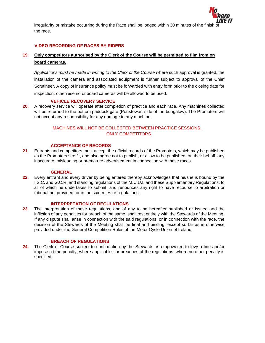

irregularity or mistake occurring during the Race shall be lodged within 30 minutes of the finish of the race.

### **VIDEO RECORDING OF RACES BY RIDERS**

# **19. Only competitors authorised by the Clerk of the Course will be permitted to film from on board cameras.**

*Applications must be made in writing to the Clerk of the Course w*here such approval is granted, the installation of the camera and associated equipment is further subject to approval of the Chief Scrutineer. A copy of insurance policy must be forwarded with entry form prior to the closing date for inspection, otherwise no onboard cameras will be allowed to be used.

#### **VEHICLE RECOVERY SERVICE**

**20.** A recovery service will operate after completion of practice and each race. Any machines collected will be returned to the bottom paddock gate (Portstewart side of the bungalow). The Promoters will not accept any responsibility for any damage to any machine.

# MACHINES WILL NOT BE COLLECTED BETWEEN PRACTICE SESSIONS: ONLY COMPETITORS

#### **ACCEPTANCE OF RECORDS**

**21.** Entrants and competitors must accept the official records of the Promoters, which may be published as the Promoters see fit, and also agree not to publish, or allow to be published, on their behalf, any inaccurate, misleading or premature advertisement in connection with these races.

#### **GENERAL**

**22.** Every entrant and every driver by being entered thereby acknowledges that he/she is bound by the I.S.C. and G.C.R. and standing regulations of the M.C.U.I. and these Supplementary Regulations, to all of which he undertakes to submit, and renounces any right to have recourse to arbitration or tribunal not provided for in the said rules or regulations.

#### **INTERPRETATION OF REGULATIONS**

**23.** The interpretation of these regulations, and of any to be hereafter published or issued and the infliction of any penalties for breach of the same, shall rest entirely with the Stewards of the Meeting. If any dispute shall arise in connection with the said regulations, or in connection with the race, the decision of the Stewards of the Meeting shall be final and binding, except so far as is otherwise provided under the General Competition Rules of the Motor Cycle Union of Ireland.

#### **BREACH OF REGULATIONS**

**24.** The Clerk of Course subject to confirmation by the Stewards, is empowered to levy a fine and/or impose a time penalty, where applicable, for breaches of the regulations, where no other penalty is specified.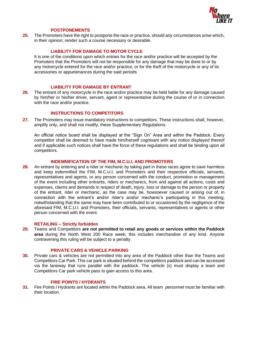

#### **POSTPONEMENTS**

**25.** The Promoters have the right to postpone the race or practice, should any circumstances arise which, in their opinion; render such a course necessary or desirable.

#### **LIABILITY FOR DAMAGE TO MOTOR CYCLE**

It is one of the conditions upon which entries for the race and/or practice will be accepted by the Promoters that the Promoters will not be responsible for any damage that may be done to or by any motorcycle entered for the race and/or practice, or for the theft of the motorcycle or any of its accessories or appurtenances during the said periods

#### **LIABILITY FOR DAMAGE BY ENTRANT**

**26.** The entrant of any motorcycle in the race and/or practice may be held liable for any damage caused by him/her or his/her driver, servant, agent or representative during the course of or in connection with the race and/or practice.

#### **INSTRUCTIONS TO COMPETITORS**

**27.** The Promoters may issue mandatory instructions to competitors. These instructions shall, however, amplify only, and shall not modify, these Supplementary Regulations.

An official notice board shall be displayed at the "Sign On" Area and within the Paddock. Every competitor shall be deemed to have made him/herself cognisant with any notice displayed thereof and if applicable such notices shall have the force of these regulations and shall be binding upon all competitors.

#### **INDEMNIFICATION OF THE FIM, M.C.U.I. AND PROMOTERS**

**28.** An entrant by entering and a rider or mechanic by taking part in these races agree to save harmless and keep indemnified the FIM, M.C.U.I. and Promoters and their respective officials, servants, representatives and agents, or any person concerned with the conduct, promotion or management of the event including other entrants, riders or mechanics, from and against all actions, costs and expenses, claims and demands in respect of death, injury, loss or damage to the person or property of the entrant, rider or mechanic, as the case may be, howsoever caused or arising out of, in connection with the entrant's and/or rider's and/or mechanic's participating in this meeting, notwithstanding that the same may have been contributed to or occasioned by the negligence of the aforesaid FIM, M.C.U.I. and Promoters, their officials, servants, representatives or agents or other person concerned with the event.

#### **RETAILING – Strictly forbidden**

**29.** Teams and Competitors **are not permitted to retail any goods or services within the Paddock area** during the North West 200 Race week; this includes merchandise of any kind. Anyone contravening this ruling will be subject to a penalty.

#### **PRIVATE CARS & VEHICLE PARKING**

**30.** Private cars & vehicles are not permitted into any area of the Paddock other than the Teams and Competitors Car Park. This car park is situated behind the competitors paddock and can be accessed via the laneway that runs parallel with the paddock. The vehicle (s) must display a team and Competitors Car park vehicle pass to gain access to this area.

#### **FIRE POINTS / HYDRANTS**

**31.** Fire Points / Hydrants are located within the Paddock area. All team personnel must be familiar with their location.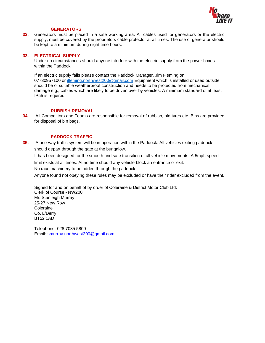

#### **GENERATORS**

**32.** Generators must be placed in a safe working area. All cables used for generators or the electric supply, must be covered by the proprietors cable protector at all times. The use of generator should be kept to a minimum during night time hours.

#### **33. ELECTRICAL SUPPLY**

Under no circumstances should anyone interfere with the electric supply from the power boxes within the Paddock.

If an electric supply fails please contact the Paddock Manager, Jim Fleming on 07730957100 or [jfleming.northwest200@gmail.com](mailto:jfleming.northwest200@gmail.com) [E](mailto:jfleming.northwest200@gmail.com)quipment which is installed or used outside should be of suitable weatherproof construction and needs to be protected from mechanical damage e.g., cables which are likely to be driven over by vehicles. A minimum standard of at least IP55 is required.

#### **RUBBISH REMOVAL**

**34.** All Competitors and Teams are responsible for removal of rubbish, old tyres etc. Bins are provided for disposal of bin bags.

#### **PADDOCK TRAFFIC**

**35.** A one-way traffic system will be in operation within the Paddock. All vehicles exiting paddock should depart through the gate at the bungalow.

It has been designed for the smooth and safe transition of all vehicle movements. A 5mph speed limit exists at all times. At no time should any vehicle block an entrance or exit.

No race machinery to be ridden through the paddock.

Anyone found not obeying these rules may be excluded or have their rider excluded from the event.

Signed for and on behalf of by order of Coleraine & District Motor Club Ltd: Clerk of Course - NW200 Mr. Stanleigh Murray 25-27 New Row Coleraine Co. L/Derry BT52 1AD

Telephone: 028 7035 5800 Email[: smurray.northwest200@gmail.com](mailto:smurray.northwest200@gmail.com)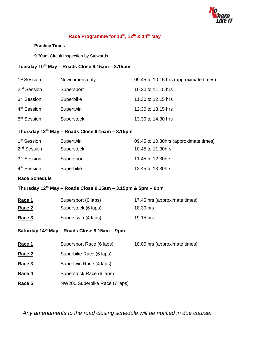

# **Race Programme for 10th, 12th & 14th May**

#### **Practice Times**

9.30am Circuit Inspection by Stewards

# **Tuesday 10th May – Roads Close 9.15am – 3.15pm**

| 1 <sup>st</sup> Session | Newcomers only | 09.45 to 10.15 hrs (approximate times) |
|-------------------------|----------------|----------------------------------------|
| 2 <sup>nd</sup> Session | Supersport     | 10.30 to 11.15 hrs                     |
| 3 <sup>rd</sup> Session | Superbike      | 11.30 to 12.15 hrs                     |
| 4 <sup>th</sup> Session | Supertwin      | 12.30 to 13.15 hrs                     |
| 5 <sup>th</sup> Session | Superstock     | 13.30 to 14.30 hrs                     |

# **Thursday 12th May – Roads Close 9.15am – 3.15pm**

| 1 <sup>st</sup> Session | Supertwin  | 09.45 to 10.30hrs (approximate times) |
|-------------------------|------------|---------------------------------------|
| 2 <sup>nd</sup> Session | Superstock | 10.45 to 11.30hrs                     |
| 3 <sup>rd</sup> Session | Supersport | 11.45 to 12.30hrs                     |
| 4 <sup>th</sup> Session | Superbike  | 12.45 to 13.30hrs                     |

# **Race Schedule**

# **Thursday 12th May – Roads Close 9.15am – 3.15pm & 5pm – 9pm**

| Race 1        | Supersport (6 laps) | 17.45 hrs (approximate times) |
|---------------|---------------------|-------------------------------|
| Race 2        | Superstock (6 laps) | 18.30 hrs                     |
| <u>Race 3</u> | Superstwin (4 laps) | $19.15$ hrs                   |

# **Saturday 14th May – Roads Close 9.15am – 9pm**

| Race 1 | Supersport Race (6 laps)      | 10.00 hrs (approximate times) |
|--------|-------------------------------|-------------------------------|
| Race 2 | Superbike Race (6 laps)       |                               |
| Race 3 | Supertwin Race (4 laps)       |                               |
| Race 4 | Superstock Race (6 laps)      |                               |
| Race 5 | NW200 Superbike Race (7 laps) |                               |

*Any amendments to the road closing schedule will be notified in due course.*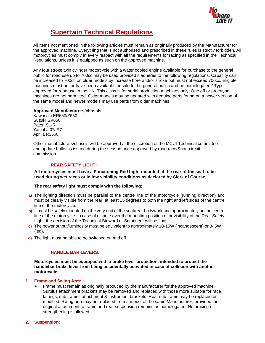

# **Supertwin Technical Regulations**

<span id="page-22-0"></span>All items not mentioned in the following articles must remain as originally produced by the Manufacturer for the approved machine. Everything that is not authorised and prescribed in these rules is strictly forbidden. All motorcycles must comply in every respect with all the requirements for racing as specified in the Technical Regulations, unless it is equipped as such on the approved machine.

Any four stroke twin cylinder motorcycle with a water cooled engine available for purchase to the general public for road use up to 700cc may be used provided it adheres to the following regulations. Capacity can be increased to 700cc on older models by increase bore and/or stroke but must not exceed 700cc. Eligible machines must be, or have been available for sale to the general public and be homologated / Type approved for road use in the UK. This class is for serial production machines only. One off or prototype machines are not permitted. Older models may be updated with genuine parts found on a newer version of the same model and newer models may use parts from older machines.

#### **Approved Manufacturers/chassis**

Kawasaki ER650/Z650 Suzuki SV650 Paton S1-R Yamaha 07/ R7 Aprilia RS660

Other manufacturers/chassis will be approved at the discretion of the MCUI Technical committee and update bulletins issued during the season once approved by road race/Short circuit commission.

#### **REAR SAFETY LIGHT:**

**All motorcycles must have a Functioning Red Light mounted at the rear of the seat to be used during wet races or in low visibility conditions as declared by Clerk of Course.**

#### **The rear safety light must comply with the following;**

- **a)** The lighting direction must be parallel to the centre line of the motorcycle (running direction) and must be clearly visible from the rear, at least 15 degrees to both the right and left sides of the centre line of the motorcycle.
- **b)** It must be safely mounted on the very end of the seat/rear bodywork and approximately on the centre line of the motorcycle. In case of dispute over the mounting position of or visibility of the Rear Safety Light, the decision of the Technical Steward or Scrutineer will be final.
- **c)** The power output/luminosity must be equivalent to approximately 10-15W (incandescent) or 3- 5W (led).
- **d)** The light must be able to be switched on and off.

#### **HANDLE BAR LEVERS:**

**Motorcycles must be equipped with a brake lever protection, intended to protect the handlebar brake lever from being accidentally activated in case of collision with another motorcycle.**

#### **1. Frame and Swing Arm:**

Frame must remain as originally produced by the manufacturer for the approved machine. Surplus attachment brackets may be removed and replaced with those more suitable for race fairings, sub frames attachment & instrument brackets. Rear sub frame may be replaced or modified. Swing arm may be replaced from a model of the same Manufacturer, provided the original attachment to frame and rear suspension remains as homologated. No bracing or strengthening is allowed.

#### **2. Suspension:**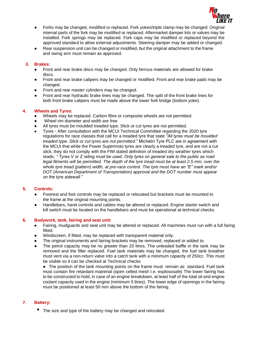

- Forks may be changed, modified or replaced. Fork yokes/triple clamp may be changed. Original internal parts of the fork may be modified or replaced. Aftermarket damper kits or valves may be installed. Fork springs may be replaced. Fork caps may be modified or replaced beyond the approved standard to allow external adjustments. Steering damper may be added or changed.
- Rear suspension unit can be changed or modified, but the original attachment to the frame and swing arm must remain as approved.

#### **3. Brakes:**

- Front and rear brake discs may be changed. Only ferrous materials are allowed for brake discs.
- Front and rear brake calipers may be changed or modified. Front and rear brake pads may be changed.
- Front and rear master cylinders may be changed.
- Front and rear hydraulic brake lines may be changed. The split of the front brake lines for both front brake calipers must be made above the lower fork bridge (bottom yoke).

#### **4. Wheels and Tyres:**

- Wheels may be replaced. Carbon fibre or composite wheels are not permitted.
- Wheel rim diameter and width are free
- All tyres must be moulded treaded type. Slick or cut tyres are not permitted.
- Tyres After consultation with the MCUI Technical Committee regarding the 2020 tyre regulations for race classes that call for a treaded tyre that state *"All tyres must be moulded treaded type. Slick or cut tyres are not permitted*." Michelin Tyre PLC are in agreement with the MCUI that while the Power Supermoto tyres are clearly a treaded tyre, and are not a cut slick, they do not comply with the FIM stated definition of treaded dry weather tyres which reads: *" Tyres V or Z rating must be used. Only tyres on general sale to the public as road legal fitments will be permitted. The depth of the tyre tread must be at least 2.5 mm, over the whole tyre tread (pattern) width, at pre-race control. The tyre must have an "E" mark and/or DOT (American Department of Transportation) approval and the DOT number must appear on the tyre sidewall."*

#### **5. Controls:**

- Footrest and foot controls may be replaced or relocated but brackets must be mounted to the frame at the original mounting points.
- Handlebars, hand controls and cables may be altered or replaced. Engine starter switch and kill switch must be located on the handlebars and must be operational at technical checks.

#### **6. Bodywork, tank, fairing and seat unit:**

- Fairing, mudguards and seat unit may be altered or replaced. All machines must run with a full faring fitted.
- Windscreen, if fitted, may be replaced with transparent material only.
- The original instruments and fairing brackets may be removed, replaced or added to.
- The petrol capacity may be no greater than 20 litres. The unleaded baffle in the tank may be removed and the filler replaced. Fuel tank materials may be changed, the fuel tank breather must vent via a non-return valve into a catch tank with a minimum capacity of 250cc. This must be visible so it can be checked at Technical checks

● The position of the tank mounting points on the frame must remain as standard. Fuel tank must contain fire retardant matrerial (open celled mesh I.e. explososafe) The lower fairing has to be constructed to hold, in case of an engine breakdown, at least half of the total oil and engine coolant capacity used in the engine (minimum 5 litres). The lower edge of openings in the fairing must be positioned at least 50 mm above the bottom of the fairing.

# **7. Battery:**

The size and type of the battery may be changed and relocated.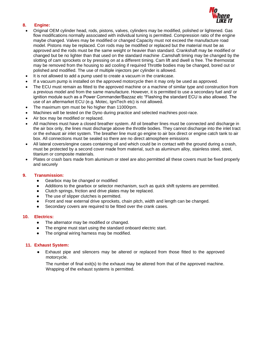

# **8. Engine:**

- Original OEM cylinder head, rods, pistons, valves, cylinders may be modified, polished or lightened. Gas flow modifications normally associated with individual tuning is permitted. Compression ratio of the engine maybe changed. Valves may be modified or changed Capacity must not exceed the manufacture road model. Pistons may be replaced. Con rods may be modified or replaced but the material must be as approved and the rods must be the same weight or heavier than standard. Crankshaft may be modified or changed but be no lighter than that used on the standard machine .Camshaft timing may be changed by the slotting of cam sprockets or by pressing on at a different timing. Cam lift and dwell is free. The thermostat may be removed from the housing to aid cooling if required Throttle bodies may be changed, bored out or polished and modified. The use of multiple injectors per cylinder is allowed.
- It is not allowed to add a pump used to create a vacuum in the crankcase.
- If a vacuum pump is installed on the approved motorcycle then it may only be used as approved.
- The ECU must remain as fitted to the approved machine or a machine of similar type and construction from a previous model and from the same manufacture. However, it is permitted to use a secondary fuel and/ or ignition module such as a Power Commander/Bazzaz etc "Flashing the standard ECU is also allowed. The use of an aftermarket ECU (e.g. Motec, IgniTech etc) is not allowed.
- The maximum rpm must be No higher than 11000rpm.
- Machines will be tested on the Dyno during practice and selected machines post-race.
- Air box may be modified or replaced.
- All machines must have a closed breather system. All oil breather lines must be connected and discharge in the air box only, the lines must discharge above the throttle bodies. They cannot discharge into the inlet tract or the exhaust air inlet system. The breather line must go engine to air box direct or engine catch tank to air box. All connections must be sealed so there are no direct atmosphere emissions
- All lateral covers/engine cases containing oil and which could be in contact with the ground during a crash, must be protected by a second cover made from material, such as aluminum alloy, stainless steel, steel, titanium or composite materials.
- Plates or crash bars made from aluminum or steel are also permitted all these covers must be fixed properly and securely

#### **9. Transmission:**

- Gearbox may be changed or modified
- Additions to the gearbox or selector mechanism, such as quick shift systems are permitted.
- Clutch springs, friction and drive plates may be replaced.
- The use of slipper clutches is permitted.
- Front and rear external drive sprockets, chain pitch, width and length can be changed.
- Secondary covers are required to be fitted over the crank cases.

#### **10. Electrics:**

- The alternator may be modified or changed.
- The engine must start using the standard onboard electric start.
- The original wiring harness may be modified.

#### **11. Exhaust System:**

Exhaust pipe and silencers may be altered or replaced from those fitted to the approved motorcycle.

The number of final exit(s) to the exhaust may be altered from that of the approved machine. Wrapping of the exhaust systems is permitted.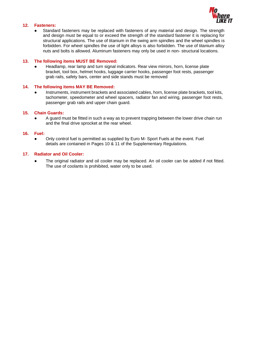

#### **12. Fasteners:**

Standard fasteners may be replaced with fasteners of any material and design. The strength and design must be equal to or exceed the strength of the standard fastener it is replacing for structural applications. The use of titanium in the swing arm spindles and the wheel spindles is forbidden. For wheel spindles the use of light alloys is also forbidden. The use of titanium alloy nuts and bolts is allowed. Aluminum fasteners may only be used in non- structural locations.

#### **13. The following items MUST BE Removed:**

Headlamp, rear lamp and turn signal indicators. Rear view mirrors, horn, license plate bracket, tool box, helmet hooks, luggage carrier hooks, passenger foot rests, passenger grab rails, safety bars, center and side stands must be removed

#### **14. The following items MAY BE Removed:**

Instruments, instrument brackets and associated cables, horn, license plate brackets, tool kits, tachometer, speedometer and wheel spacers, radiator fan and wiring, passenger foot rests, passenger grab rails and upper chain guard.

#### **15. Chain Guards:**

A guard must be fitted in such a way as to prevent trapping between the lower drive chain run and the final drive sprocket at the rear wheel.

#### **16. Fuel:**

Only control fuel is permitted as supplied by Euro M- Sport Fuels at the event. Fuel details are contained in Pages 10 & 11 of the Supplementary Regulations.

#### **17. Radiator and Oil Cooler:**

The original radiator and oil cooler may be replaced. An oil cooler can be added if not fitted. The use of coolants is prohibited, water only to be used.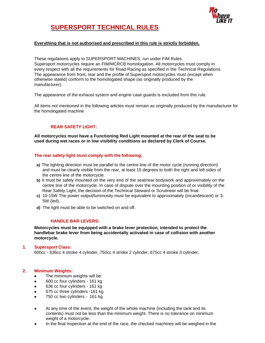

# **SUPERSPORT TECHNICAL RULES**

#### **Everything that is not authorised and prescribed in this rule is strictly forbidden.**

These regulations apply to SUPERSPORT MACHINES, run under FIM Rules. Supersport motorcycles require an FIM/MCRCB homologation. All motorcycles must comply in every respect with all the requirements for Road Racing as specified in the Technical Regulations. The appearance from front, rear and the profile of Supersport motorcycles must (except when otherwise stated) conform to the homologated shape (as originally produced by the manufacturer).

The appearance of the exhaust system and engine case guards is excluded from this rule.

All items not mentioned in the following articles must remain as originally produced by the manufacturer for the homologated machine

#### **REAR SAFETY LIGHT:**

**All motorcycles must have a Functioning Red Light mounted at the rear of the seat to be used during wet races or in low visibility conditions as declared by Clerk of Course.**

#### **The rear safety light must comply with the following;**

- **a)** The lighting direction must be parallel to the centre line of the motor cycle (running direction) and must be clearly visible from the rear, at least 15 degrees to both the right and left sides of the centre line of the motorcycle.
- **b)** It must be safely mounted on the very end of the seat/rear bodywork and approximately on the centre line of the motorcycle. In case of dispute over the mounting position of or visibility of the Rear Safety Light, the decision of the Technical Steward or Scrutineer will be final.
- **c)** 10-15W The power output/luminosity must be equivalent to approximately (incandescent) or 3- 5W (led).
- **d)** The light must be able to be switched on and off.

#### **HANDLE BAR LEVERS:**

**Motorcycles must be equipped with a brake lever protection, intended to protect the handlebar brake lever from being accidentally activated in case of collision with another motorcycle.**

#### **1. Supersport Class:**

600cc - 636cc 4 stroke 4 cylinder, 750cc 4 stroke 2 cylinder, 675cc 4 stroke 3 cylinder,

#### **2. Minimum Weights:**

- The minimum weights will be:
- 600 cc four cylinders 161 kg
- 636 cc four cylinders 161 kg
- 675 cc three cylinders -161 kg
- 750 cc two cylinders 161 kg
- At any time of the event, the weight of the whole machine (including the tank and its contents) must not be less than the minimum weight. There is no tolerance on minimum weight of a motorcycle.
- In the final inspection at the end of the race, the checked machines will be weighed in the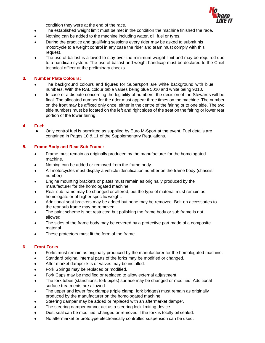

condition they were at the end of the race.

- The established weight limit must be met in the condition the machine finished the race.
- Nothing can be added to the machine including water, oil, fuel or tyres.
- During the practice and qualifying sessions every rider may be asked to submit his motorcycle to a weight control in any case the rider and team must comply with this request.
- The use of ballast is allowed to stay over the minimum weight limit and may be required due to a handicap system. The use of ballast and weight handicap must be declared to the Chief technical officer at the preliminary checks

### **3. Number Plate Colours:**

- The background colours and figures for Supersport are white background with blue numbers. With the RAL colour table values being blue 5010 and white being 9010.
- In case of a dispute concerning the legibility of numbers, the decision of the Stewards will be final. The allocated number for the rider must appear three times on the machine. The number on the front may be affixed only once, either in the centre of the fairing or to one side. The two side numbers must be located on the left and right sides of the seat on the fairing or lower rear portion of the lower fairing.

#### **4. Fuel:**

Only control fuel is permitted as supplied by Euro M-Sport at the event. Fuel details are contained in Pages 10 & 11 of the Supplementary Regulations.

#### **5. Frame Body and Rear Sub Frame:**

- Frame must remain as originally produced by the manufacturer for the homologated machine.
- Nothing can be added or removed from the frame body.
- All motorcycles must display a vehicle identification number on the frame body (chassis number)
- Engine mounting brackets or plates must remain as originally produced by the manufacturer for the homologated machine.
- Rear sub frame may be changed or altered, but the type of material must remain as homologate or of higher specific weight.
- Additional seat brackets may be added but none may be removed. Bolt-on accessories to the rear sub frame may be removed.
- The paint scheme is not restricted but polishing the frame body or sub frame is not allowed.
- The sides of the frame body may be covered by a protective part made of a composite material.
- These protectors must fit the form of the frame.

#### **6. Front Forks**

- Forks must remain as originally produced by the manufacturer for the homologated machine.
- Standard original internal parts of the forks may be modified or changed.
- After market damper kits or valves may be installed.
- Fork Springs may be replaced or modified.
- Fork Caps may be modified or replaced to allow external adjustment.
- The fork tubes (stanchions, fork pipes) surface may be changed or modified. Additional surface treatments are allowed.
- The upper and lower fork clamps (triple clamp, fork bridges) must remain as originally produced by the manufacturer on the homologated machine.
- Steering damper may be added or replaced with an aftermarket damper.
- The steering damper cannot act as a steering lock limiting device.
- Dust seal can be modified, changed or removed if the fork is totally oil sealed.
- No aftermarket or prototype electronically controlled suspension can be used.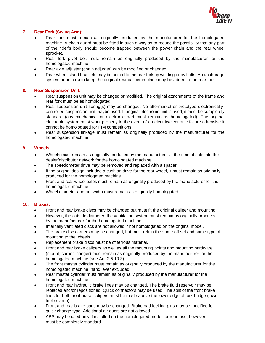

# **7. Rear Fork (Swing Arm):**

- Rear fork must remain as originally produced by the manufacturer for the homologated machine. A chain guard must be fitted in such a way as to reduce the possibility that any part of the rider's body should become trapped between the power chain and the rear wheel sprocket.
- Rear fork pivot bolt must remain as originally produced by the manufacturer for the homologated machine.
- Rear axle adjuster (chain adjuster) can be modified or changed.
- Rear wheel stand brackets may be added to the rear fork by welding or by bolts. An anchorage system or point(s) to keep the original rear caliper in place may be added to the rear fork.

# **8. Rear Suspension Unit:**

- Rear suspension unit may be changed or modified. The original attachments of the frame and rear fork must be as homologated.
- Rear suspension unit spring(s) may be changed. No aftermarket or prototype electronicallycontrolled suspension unit maybe used. If original electronic unit is used, it must be completely standard (any mechanical or electronic part must remain as homologated). The original electronic system must work properly in the event of an electric/electronic failure otherwise it cannot be homologated for FIM competitions.
- Rear suspension linkage must remain as originally produced by the manufacturer for the homologated machine.

#### **9. Wheels:**

- Wheels must remain as originally produced by the manufacturer at the time of sale into the dealer/distributor network for the homologated machine.
- The speedometer drive may be removed and replaced with a spacer
- If the original design included a cushion drive for the rear wheel, it must remain as originally produced for the homologated machine
- Front and rear wheel axles must remain as originally produced by the manufacturer for the homologated machine
- Wheel diameter and rim width must remain as originally homologated.

#### **10. Brakes:**

- Front and rear brake discs may be changed but must fit the original caliper and mounting.
- However, the outside diameter, the ventilation system must remain as originally produced by the manufacturer for the homologated machine.
- Internally ventilated discs are not allowed if not homologated on the original model.
- The brake disc carriers may be changed, but must retain the same off set and same type of mounting to the wheels.
- Replacement brake discs must be of ferrous material.
- Front and rear brake calipers as well as all the mounting points and mounting hardware
- (mount, carrier, hanger) must remain as originally produced by the manufacturer for the homologated machine (see Art. 2.5.10.3)
- The front master cylinder must remain as originally produced by the manufacturer for the homologated machine, hand lever excluded.
- Rear master cylinder must remain as originally produced by the manufacturer for the homologated machine
- Front and rear hydraulic brake lines may be changed. The brake fluid reservoir may be replaced and/or repositioned. Quick connectors may be used. The split of the front brake lines for both front brake calipers must be made above the lower edge of fork bridge (lower triple clamp).
- Front and rear brake pads may be changed. Brake pad locking pins may be modified for quick change type. Additional air ducts are not allowed.
- ABS may be used only if installed on the homologated model for road use, however it must be completely standard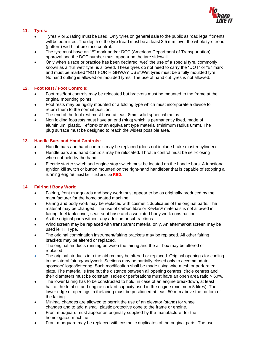

# **11. Tyres:**

- Tyres V or Z rating must be used. Only tyres on general sale to the public as road legal fitments will be permitted. The depth of the tyre tread must be at least 2.5 mm, over the whole tyre tread (pattern) width, at pre-race control.
- The tyre must have an "E" mark and/or DOT (American Department of Transportation) approval and the DOT number must appear on the tyre sidewall.
- Only when a race or practice has been declared "wet" the use of a special tyre, commonly known as a "full wet" tyre, is allowed. These tyres do not need to carry the "DOT" or "E" mark and must be marked "NOT FOR HIGHWAY USE".Wet tyres must be a fully moulded tyre. No hand cutting is allowed on moulded tyres. The use of hand cut tyres is not allowed.

# **12. Foot Rest / Foot Controls:**

- Foot rest/foot controls may be relocated but brackets must be mounted to the frame at the original mounting points.
- Foot rests may be rigidly mounted or a folding type which must incorporate a device to return them to the normal position.
- The end of the foot rest must have at least 8mm solid spherical radius.
- Non folding footrests must have an end (plug) which is permanently fixed, made of aluminium, plastic, Teflon® or an equivalent type material (minimum radius 8mm). The plug surface must be designed to reach the widest possible area.

# **13. Handle Bars and Hand Controls:**

- Handle bars and hand controls may be replaced (does not include brake master cylinder).
- Handle bars and hand controls may be relocated. Throttle control must be self-closing when not held by the hand.
- Electric starter switch and engine stop switch must be located on the handle bars. A functional Ignition kill switch or button mounted on the right-hand handlebar that is capable of stopping a running engine must be fitted and be **RED.**

# **14. Fairing / Body Work:**

- Fairing, front mudguards and body work must appear to be as originally produced by the manufacturer for the homologated machine.
- Fairing and body work may be replaced with cosmetic duplicates of the original parts. The material may be changed. The use of carbon fibre or Kevlar® materials is not allowed in fairing, fuel tank cover, seat, seat base and associated body work construction.
- As the original parts without any addition or subtractions.
- Wind screen may be replaced with transparent material only. An aftermarket screen may be used ie TT Type.
- The original combination instrument/fairing brackets may be replaced. All other fairing brackets may be altered or replaced.
- The original air ducts running between the fairing and the air box may be altered or replaced.
- The original air ducts into the airbox may be altered or replaced. Original openings for cooling in the lateral fairing/bodywork. Sections may be partially closed only to accommodate sponsors' logos/lettering. Such modification shall be made using wire mesh or perforated plate. The material is free but the distance between all opening centres, circle centres and their diameters must be constant. Holes or perforations must have an open area ratio > 60%.
- The lower fairing has to be constructed to hold, in case of an engine breakdown, at least half of the total oil and engine coolant capacity used in the engine (minimum 5 litres). The lower edge of openings in thefairing must be positioned at least 50 mm above the bottom of the fairing
- Minimal changes are allowed to permit the use of an elevator (stand) for wheel changes and to add a small plastic protective cone to the frame or engine.
- Front mudguard must appear as originally supplied by the manufacturer for the homologated machine.
- Front mudguard may be replaced with cosmetic duplicates of the original parts. The use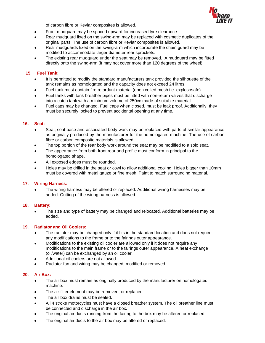

of carbon fibre or Kevlar composites is allowed.

- Front mudguard may be spaced upward for increased tyre clearance
- Rear mudguard fixed on the swing-arm may be replaced with cosmetic duplicates of the original parts. The use of carbon fibre or Kevlar composites is allowed.
- Rear mudguards fixed on the swing-arm which incorporate the chain guard may be modified to accommodate larger diameter rear sprockets.
- The existing rear mudguard under the seat may be removed. A mudguard may be fitted directly onto the swing-arm (it may not cover more than 120 degrees of the wheel).

### **15. Fuel Tank:**

- It is permitted to modify the standard manufacturers tank provided the silhouette of the tank remains as homologated and the capacity does not exceed 24 litres.
- Fuel tank must contain fire retardant material (open celled mesh i.e. explososafe)
- Fuel tanks with tank breather pipes must be fitted with non-return valves that discharge into a catch tank with a minimum volume of 250cc made of suitable material.
- Fuel caps may be changed. Fuel caps when closed, must be leak proof. Additionally, they must be securely locked to prevent accidental opening at any time.

#### **16. Seat:**

- Seat, seat base and associated body work may be replaced with parts of similar appearance as originally produced by the manufacturer for the homologated machine. The use of carbon fibre or carbon composite materials is allowed.
- The top portion of the rear body work around the seat may be modified to a solo seat.
- The appearance from both front rear and profile must conform in principal to the homologated shape.
- All exposed edges must be rounded.
- Holes may be drilled in the seat or cowl to allow additional cooling. Holes bigger than 10mm must be covered with metal gauze or fine mesh. Paint to match surrounding material.

#### **17. Wiring Harness:**

The wiring harness may be altered or replaced. Additional wiring harnesses may be added. Cutting of the wiring harness is allowed.

#### **18. Battery:**

The size and type of battery may be changed and relocated. Additional batteries may be added.

#### **19. Radiator and Oil Coolers:**

- The radiator may be changed only if it fits in the standard location and does not require any modifications to the frame or to the fairings outer appearance.
- Modifications to the existing oil cooler are allowed only if it does not require any modifications to the main frame or to the fairings outer appearance. A heat exchange (oil/water) can be exchanged by an oil cooler.
- Additional oil coolers are not allowed.
- Radiator fan and wiring may be changed, modified or removed.

#### **20. Air Box:**

- The air box must remain as originally produced by the manufacturer on homologated machine.
- The air filter element may be removed, or replaced.
- The air box drains must be sealed.
- All 4 stroke motorcycles must have a closed breather system. The oil breather line must be connected and discharge in the air box.
- The original air ducts running from the fairing to the box may be altered or replaced.
- The original air ducts to the air box may be altered or replaced.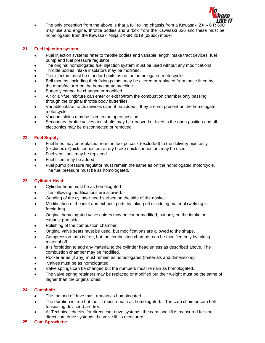

The only exception from the above is that a full rolling chassis from a Kawasaki  $ZX - 6 R 600$ may use and engine, throttle bodies and airbox from the Kawasaki 636 and these must be homologated from the Kawasaki Ninja ZX-6R 2019 (636cc) model

#### **21. Fuel injection system:**

- Fuel injection systems refer to throttle bodies and variable length intake tract devices, fuel pump and fuel pressure regulator.
- The original homologated fuel injection system must be used without any modifications.
- Throttle bodies intake insulators may be modified.
- The injectors must be standard units as on the homologated motorcycle.
- Bell mouths, including their fixing points, may be altered or replaced from those fitted by the manufacturer on the homologate machine.
- Butterfly cannot be changed or modified.
- Air or air-fuel mixture can enter or exit to/from the combustion chamber only passing through the original throttle body butterflies.
- Variable intake tracts devices cannot be added if they are not present on the homologate motorcycle.
- Vacuum slides may be fixed in the open position.
- Secondary throttle valves and shafts may be removed or fixed in the open position and all electronics may be disconnected or removed.

# **22. Fuel Supply**

- Fuel lines may be replaced from the fuel petcock (excluded) to the delivery pipe assy (excluded). Quick connectors or dry brake quick connectors may be used.
- Fuel vent lines may be replaced.
- Fuel filters may be added.
- Fuel pump pressure regulator must remain the same as on the homologated motorcycle. The fuel pressure must be as homologated.

# **23. Cylinder Head:**

- Cylinder head must be as homologated
- The following modifications are allowed: -
- Grinding of the cylinder head surface on the side of the gasket.
- Modification of the inlet and exhaust ports by taking off or adding material (welding is forbidden)
- Original homologated valve guides may be cut or modified, but only on the intake or exhaust port side.
- Polishing of the combustion chamber.
- Original valve seats must be used, but modifications are allowed to the shape.
- Compression ratio is free, but the combustion chamber can be modified only by taking material off.
- It is forbidden to add any material to the cylinder head unless as described above. The combustion chamber may be modified.
- Rocker arms (if any) must remain as homologated (materials and dimensions)
- Valves must be as homologated**.**
- Valve springs can be changed but the numbers must remain as homologated.
- The valve spring retainers may be replaced or modified but their weight must be the same of higher than the original ones.

# **24. Camshaft:**

- The method of drive must remain as homologated.
- The duration is free but the lift must remain as homologated. The cam chain or cam belt tensioning device(s) are free.
- At Technical checks: for direct cam drive systems, the cam lobe lift is measured for nondirect cam drive systems, the valve lift is measured.
- **25. Cam Sprockets:**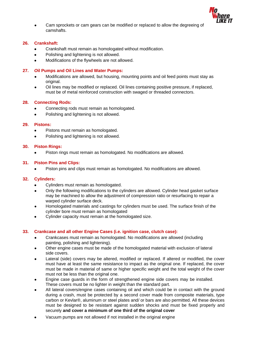

Cam sprockets or cam gears can be modified or replaced to allow the degreeing of camshafts.

#### **26. Crankshaft:**

- Crankshaft must remain as homologated without modification.
- Polishing and lightening is not allowed.
- Modifications of the flywheels are not allowed.

#### **27.** *O***il Pumps and Oil Lines and Water Pumps:**

- Modifications are allowed, but housing, mounting points and oil feed points must stay as original.
- Oil lines may be modified or replaced. Oil lines containing positive pressure, if replaced, must be of metal reinforced construction with swaged or threaded connectors.

#### **28. Connecting Rods:**

- Connecting rods must remain as homologated.
- Polishing and lightening is not allowed.

#### **29. Pistons:**

- Pistons must remain as homologated.
- Polishing and lightening is not allowed.

#### **30. Piston Rings:**

● Piston rings must remain as homologated. No modifications are allowed.

#### **31. Piston Pins and Clips:**

Piston pins and clips must remain as homologated. No modifications are allowed.

#### **32. Cylinders:**

- Cylinders must remain as homologated.
- Only the following modifications to the cylinders are allowed. Cylinder head gasket surface may be machined to allow the adjustment of compression ratio or resurfacing to repair a warped cylinder surface deck.
- Homologated materials and castings for cylinders must be used. The surface finish of the cylinder bore must remain as homologated
- Cylinder capacity must remain at the homologated size.

#### **33. Crankcase and all other Engine Cases (i.e. ignition case, clutch case):**

- Crankcases must remain as homologated. No modifications are allowed (including painting, polishing and lightening).
- Other engine cases must be made of the homologated material with exclusion of lateral side covers.
- Lateral (side) covers may be altered, modified or replaced. If altered or modified, the cover must have at least the same resistance to impact as the original one. If replaced, the cover must be made in material of same or higher specific weight and the total weight of the cover must not be less than the original one.
- Engine case guards in the form of strengthened engine side covers may be installed. These covers must be no lighter in weight than the standard part.
- All lateral covers/engine cases containing oil and which could be in contact with the ground during a crash, must be protected by a second cover made from composite materials, type carbon or Kevlar®, aluminum or steel plates and/ or bars are also permitted. All these devices must be designed to be resistant against sudden shocks and must be fixed properly and securely **and cover a minimum of one third of the original cover**
- Vacuum pumps are not allowed if not installed in the original engine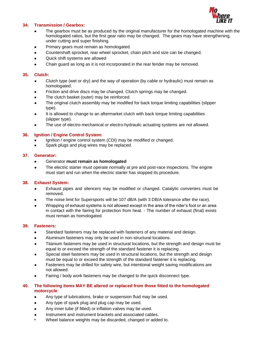

### **34. Transmission / Gearbox:**

- The gearbox must be as produced by the original manufacturer for the homologated machine with the homologated ratios, but the first gear ratio may be changed. The gears may have strengthening, under cutting and super finishing.
- Primary gears must remain as homologated.
- Countershaft sprocket, rear wheel sprocket, chain pitch and size can be changed.
- Quick shift systems are allowed
- Chain guard as long as it is not incorporated in the rear fender may be removed.

#### **35. Clutch:**

- Clutch type (wet or dry) and the way of operation (by cable or hydraulic) must remain as homologated.
- Friction and drive discs may be changed. Clutch springs may be changed.
- The clutch basket (outer) may be reinforced.
- The original clutch assembly may be modified for back torque limiting capabilities (slipper type).
- It is allowed to change to an aftermarket clutch with back torque limiting capabilities (slipper type).
- The use of electro-mechanical or electro-hydraulic actuating systems are not allowed.

#### **36. Ignition / Engine Control System:**

- Ignition / engine control system (CDI) may be modified or changed.
- Spark plugs and plug wires may be replaced.

#### **37. Generator:**

- Generator **must remain as homologated**
- The electric starter must operate normally at pre and post-race inspections. The engine must start and run when the electric starter has stopped its procedure.

#### **38. Exhaust System:**

- Exhaust pipes and silencers may be modified or changed. Catalytic converters must be removed.
- The noise limit for Supersports will be 107 dB/A (with 3 DB/A tolerance after the race).
- Wrapping of exhaust systems is not allowed except in the area of the rider's foot or an area in contact with the fairing for protection from heat. - The number of exhaust (final) exists must remain as homologated.

#### **39. Fasteners:**

- Standard fasteners may be replaced with fasteners of any material and design.
- Aluminum fasteners may only be used in non-structural locations.
- Titanium fasteners may be used in structural locations, but the strength and design must be equal to or exceed the strength of the standard fastener it is replacing.
- Special steel fasteners may be used in structural locations, but the strength and design must be equal to or exceed the strength of the standard fastener it is replacing.
- Fasteners may be drilled for safety wire, but intentional weight saving modifications are not allowed.
- Fairing / body work fasteners may be changed to the quick disconnect type.

#### **40. The following items MAY BE altered or replaced from those fitted to the homologated motorcycle**:

- Any type of lubrications, brake or suspension fluid may be used.
- Any type of spark plug and plug cap may be used.
- Any inner tube (if fitted) or inflation valves may be used.
- Instrument and instrument brackets and associated cables.
- Wheel balance weights may be discarded, changed or added to.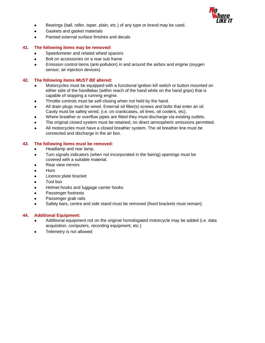

- Bearings (ball, roller, taper, plain, etc.) of any type or brand may be used.
- Gaskets and gasket materials
- Painted external surface finishes and decals

### **41. The following items may be** *removed***:**

- Speedometer and related wheel spacers
- Bolt on accessories on a rear sub frame
- Emission control items (anti-pollution) in and around the airbox and engine (oxygen sensor, air injection devices)

### **42. The following items** *MUST BE* **altered:**

- Motorcycles must be equipped with a functional ignition kill switch or button mounted on either side of the handlebar (within reach of the hand while on the hand grips) that is capable of stopping a running engine.
- Throttle controls must be self-closing when not held by the hand.
- All drain plugs must be wired. External oil filter(s) screws and bolts that enter an oil Cavity must be safety wired, (i.e. on crankcases, oil lines, oil coolers, etc).
- Where breather or overflow pipes are fitted they must discharge via existing outlets.
- The original closed system must be retained, no direct atmospheric emissions permitted.
- All motorcycles must have a closed breather system. The oil breather line must be connected and discharge in the air box.

#### **43. The following items must be removed:**

- Headlamp and rear lamp.
- Turn signals indicators (when not incorporated in the fairing) openings must be covered with a suitable material.
- Rear view mirrors
- Horn
- Licence plate bracket
- Tool box
- Helmet hooks and luggage carrier hooks
- Passenger footrests
- Passenger grab rails
- Safety bars, centre and side stand must be removed (fixed brackets must remain).

#### **44. Additional Equipment:**

- Additional equipment not on the original homologated motorcycle may be added (i.e. data acquisition, computers, recording equipment, etc.)
- Telemetry is not allowed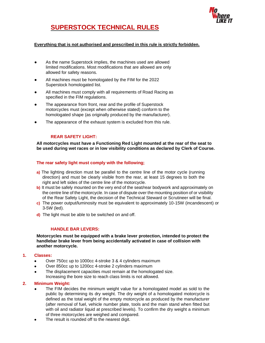

# **SUPERSTOCK TECHNICAL RULES**

#### **Everything that is not authorised and prescribed in this rule is strictly forbidden.**

- As the name Superstock implies, the machines used are allowed limited modifications. Most modifications that are allowed are only allowed for safety reasons.
- All machines must be homologated by the FIM for the 2022 Superstock homologated list.
- All machines must comply with all requirements of Road Racing as specified in the FIM regulations.
- The appearance from front, rear and the profile of Superstock motorcycles must (except when otherwise stated) conform to the homologated shape (as originally produced by the manufacturer).
- The appearance of the exhaust system is excluded from this rule.

#### **REAR SAFETY LIGHT:**

**All motorcycles must have a Functioning Red Light mounted at the rear of the seat to be used during wet races or in low visibility conditions as declared by Clerk of Course.**

#### **The rear safety light must comply with the following;**

- **a)** The lighting direction must be parallel to the centre line of the motor cycle (running direction) and must be clearly visible from the rear, at least 15 degrees to both the right and left sides of the centre line of the motorcycle.
- **b)** It must be safely mounted on the very end of the seat/rear bodywork and approximately on the centre line of the motorcycle. In case of dispute over the mounting position of or visibility of the Rear Safety Light, the decision of the Technical Steward or Scrutineer will be final.
- **c)** The power output/luminosity must be equivalent to approximately 10-15W (incandescent) or 3-5W (led).
- **d)** The light must be able to be switched on and off.

#### **HANDLE BAR LEVERS:**

**Motorcycles must be equipped with a brake lever protection, intended to protect the handlebar brake lever from being accidentally activated in case of collision with another motorcycle.**

#### **1. Classes:**

- Over 750cc up to 1000cc 4-stroke 3 & 4 cylinders maximum
- Over 850cc up to 1200cc 4-stroke 2 cylinders maximum
- The displacement capacities must remain at the homologated size. Increasing the bore size to reach class limits is not allowed.

#### **2. Minimum Weight:**

- The FIM decides the minimum weight value for a homologated model as sold to the public by determining its dry weight. The dry weight of a homologated motorcycle is defined as the total weight of the empty motorcycle as produced by the manufacturer (after removal of fuel, vehicle number plate, tools and the main stand when fitted but with oil and radiator liquid at prescribed levels). To confirm the dry weight a minimum of three motorcycles are weighed and compared.
- The result is rounded off to the nearest digit.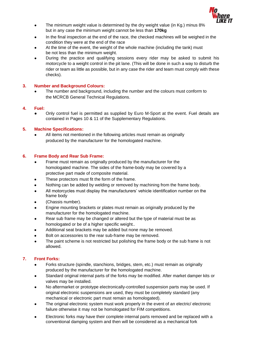

- The minimum weight value is determined by the dry weight value (in Kg.) minus 8% but in any case the minimum weight cannot be less than **170kg**
- In the final inspection at the end of the race, the checked machines will be weighed in the condition they were at the end of the race
- At the time of the event, the weight of the whole machine (including the tank) must be not less than the minimum weight.
- During the practice and qualifying sessions every rider may be asked to submit his motorcycle to a weight control in the pit lane. (This will be done in such a way to disturb the rider or team as little as possible, but in any case the rider and team must comply with these checks).

#### **3. Number and Background Colours:**

The number and background, including the number and the colours must conform to the MCRCB General Technical Regulations.

#### **4. Fuel:**

Only control fuel is permitted as supplied by Euro M-Sport at the event. Fuel details are contained in Pages 10 & 11 of the Supplementary Regulations.

# **5. Machine Specifications:**

All items not mentioned in the following articles must remain as originally produced by the manufacturer for the homologated machine.

# **6. Frame Body and Rear Sub Frame:**

- Frame must remain as originally produced by the manufacturer for the homologated machine. The sides of the frame-body may be covered by a protective part made of composite material.
- These protectors must fit the form of the frame.
- Nothing can be added by welding or removed by machining from the frame body.
- All motorcycles must display the manufacturers' vehicle identification number on the frame body
- (Chassis number).
- Engine mounting brackets or plates must remain as originally produced by the manufacturer for the homologated machine.
- Rear sub frame may be changed or altered but the type of material must be as homologated or be of a higher specific weight..
- Additional seat brackets may be added but none may be removed.
- Bolt on accessories to the rear sub-frame may be removed.
- The paint scheme is not restricted but polishing the frame body or the sub frame is not allowed.

# **7. Front Forks:**

- Forks structure (spindle, stanchions, bridges, stem, etc.) must remain as originally produced by the manufacturer for the homologated machine.
- Standard original internal parts of the forks may be modified. After market damper kits or valves may be installed.
- No aftermarket or prototype electronically-controlled suspension parts may be used. If original electronic suspensions are used, they must be completely standard (any mechanical or electronic part must remain as homologated).
- The original electronic system must work properly in the event of an electric/ electronic failure otherwise it may not be homologated for FIM competitions.
- Electronic forks may have their complete internal parts removed and be replaced with a conventional damping system and then will be considered as a mechanical fork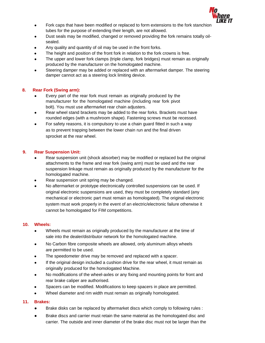

- Fork caps that have been modified or replaced to form extensions to the fork stanchion tubes for the purpose of extending their length, are not allowed.
- Dust seals may be modified, changed or removed providing the fork remains totally oilsealed.
- Any quality and quantity of oil may be used in the front forks.
- The height and position of the front fork in relation to the fork crowns is free.
- The upper and lower fork clamps (triple clamp, fork bridges) must remain as originally produced by the manufacturer on the homologated machine.
- Steering damper may be added or replaced with an aftermarket damper. The steering damper cannot act as a steering lock limiting device.

#### **8. Rear Fork (Swing arm):**

- Every part of the rear fork must remain as originally produced by the manufacturer for the homologated machine (including rear fork pivot bolt). You must use aftermarket rear chain adjusters.
- Rear wheel stand brackets may be added to the rear forks. Brackets must have rounded edges (with a mushroom shape). Fastening screws must be recessed.
- For safety reasons, it is compulsory to use a chain guard fitted in such a way as to prevent trapping between the lower chain run and the final driven sprocket at the rear wheel.

#### **9. Rear Suspension Unit:**

- Rear suspension unit (shock absorber) may be modified or replaced but the original attachments to the frame and rear fork (swing arm) must be used and the rear suspension linkage must remain as originally produced by the manufacturer for the homologated machine.
- Rear suspension unit spring may be changed.
- No aftermarket or prototype electronically controlled suspensions can be used. If original electronic suspensions are used, they must be completely standard (any mechanical or electronic part must remain as homologated). The original electronic system must work properly in the event of an electric/electronic failure otherwise it cannot be homologated for FIM competitions.

#### **10. Wheels:**

- Wheels must remain as originally produced by the manufacturer at the time of sale into the dealer/distributor network for the homologated machine.
- No Carbon fibre composite wheels are allowed, only aluminum alloys wheels are permitted to be used.
- The speedometer drive may be removed and replaced with a spacer.
- If the original design included a cushion drive for the rear wheel, it must remain as originally produced for the homologated Machine.
- No modifications of the wheel-axles or any fixing and mounting points for front and rear brake caliper are authorised.
- Spacers can be modified. Modifications to keep spacers in place are permitted.
- Wheel diameter and rim width must remain as originally homologated.

#### **11. Brakes:**

- Brake disks can be replaced by aftermarket discs which comply to following rules :
- Brake discs and carrier must retain the same material as the homologated disc and carrier. The outside and inner diameter of the brake disc must not be larger than the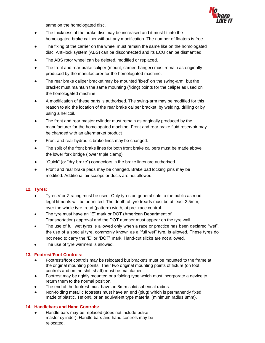

same on the homologated disc.

- The thickness of the brake disc may be increased and it must fit into the homologated brake caliper without any modification. The number of floaters is free.
- The fixing of the carrier on the wheel must remain the same like on the homologated disc. Anti-lock system (ABS) can be disconnected and its ECU can be dismantled.
- The ABS rotor wheel can be deleted, modified or replaced.
- The front and rear brake caliper (mount, carrier, hanger) must remain as originally produced by the manufacturer for the homologated machine.
- The rear brake caliper bracket may be mounted 'fixed' on the swing-arm, but the bracket must maintain the same mounting (fixing) points for the caliper as used on the homologated machine.
- A modification of these parts is authorised. The swing-arm may be modified for this reason to aid the location of the rear brake caliper bracket, by welding, drilling or by using a helicoil.
- The front and rear master cylinder must remain as originally produced by the manufacturer for the homologated machine. Front and rear brake fluid reservoir may be changed with an aftermarket product
- Front and rear hydraulic brake lines may be changed.
- The split of the front brake lines for both front brake calipers must be made above the lower fork bridge (lower triple clamp).
- "Quick" (or "dry-brake") connectors in the brake lines are authorised.
- Front and rear brake pads may be changed. Brake pad locking pins may be modified. Additional air scoops or ducts are not allowed.

#### **12. Tyres:**

- Tyres V or  $Z$  rating must be used. Only tyres on general sale to the public as road legal fitments will be permitted. The depth of tyre treads must be at least 2.5mm, over the whole tyre tread (pattern) width, at pre- race control.
- The tyre must have an "E" mark or DOT (American Department of Transportation) approval and the DOT number must appear on the tyre wall.
- The use of full wet tyres is allowed only when a race or practice has been declared "wet", the use of a special tyre, commonly known as a "full wet" tyre, is allowed. These tyres do not need to carry the "E" or "DOT" mark. Hand-cut slicks are not allowed.
- The use of tyre warmers is allowed.

# **13. Footrest/Foot Controls:**

- Footrests/foot controls may be relocated but brackets must be mounted to the frame at the original mounting points. Their two original mounting points of fixture (on foot controls and on the shift shaft) must be maintained.
- Footrest may be rigidly mounted or a folding type which must incorporate a device to return them to the normal position.
- The end of the footrest must have an 8mm solid spherical radius.
- Non-folding metallic footrests must have an end (plug) which is permanently fixed, made of plastic, Teflon® or an equivalent type material (minimum radius 8mm).

# **14. Handlebars and Hand Controls:**

Handle bars may be replaced (does not include brake master cylinder). Handle bars and hand controls may be relocated.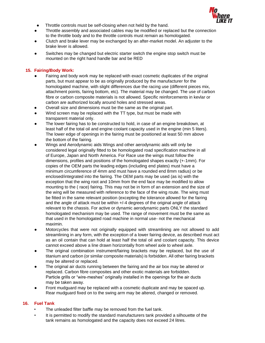

- Throttle controls must be self-closing when not held by the hand.
- Throttle assembly and associated cables may be modified or replaced but the connection to the throttle body and to the throttle controls must remain as homologated.
- Clutch and brake lever may be exchanged by an after-market model. An adjuster to the brake lever is allowed.
- Switches may be changed but electric starter switch the engine stop switch must be mounted on the right hand handle bar and be RED

#### **15. Fairing/Body Work:**

- Fairing and body work may be replaced with exact cosmetic duplicates of the original parts, but must appear to be as originally produced by the manufacturer for the homologated machine, with slight differences due the racing use (different pieces mix, attachment points, fairing bottom, etc). The material may be changed. The use of carbon fibre or carbon composite materials is not allowed. Specific reinforcements in kevlar or carbon are authorized locally around holes and stressed areas.
- Overall size and dimensions must be the same as the original part.
- Wind screen may be replaced with the TT type, but must be made with transparent material only.
- The lower fairing has to be constructed to hold, in case of an engine breakdown, at least half of the total oil and engine coolant capacity used in the engine (min 5 liters). The lower edge of openings in the fairing must be positioned at least 50 mm above the bottom of the fairing.
- Wings and Aerodynamic aids Wings and other aerodynamic aids will only be considered legal originally fitted to be homologated road specification machine in all of Europe, Japan and North America. For Race use the wings must follow the dimensions, profiles and positions of the homologated shapes exactly (+-1mm). For copies of the OEM parts the leading edges (including end plates) must have a minimum circumference of 4mm and must have a rounded end 8mm radius) or be enclosed/integrated into the fairing. The OEM parts may be used (as is) with the exception that the wing root and 10mm from the end face may be modified to allow mounting to the ( race) fairing. This may not be in form of an extension and the size of the wing will be measured with reference to the face of the wing route. The wing must be fitted in the same relevant position (excepting the tolerance allowed for the fairing and the angle of attack must be within  $+/-4$  degrees of the original angle of attack relevant to the chassis. For active or dynamic aerodynamic parts ONLY the standard homologated mechanism may be used. The range of movement must be the same as that used in the homologated road machine in normal use- not the mechanical maximin.
- Motorcycles that were not originally equipped with streamlining are not allowed to add streamlining in any form, with the exception of a lower fairing device, as described must act as an oil contain that can hold at least half the total oil and coolant capacity. This device cannot exceed above a line drawn horizontally from wheel axle to wheel axle.
- The original combination instrument/fairing brackets may be replaced, but the use of titanium and carbon (or similar composite materials) is forbidden. All other fairing brackets may be altered or replaced.
- The original air ducts running between the fairing and the air box may be altered or replaced. Carbon fibre composites and other exotic materials are forbidden. Particle grills or "wire-meshes" originally installed in the openings for the air ducts may be taken away.
- Front mudguard may be replaced with a cosmetic duplicate and may be spaced up. Rear mudguard fixed on to the swing arm may be altered, changed or removed.

#### **16. Fuel Tank**

- The unleaded filter baffle may be removed from the fuel tank.
- It is permitted to modify the standard manufacturers tank provided a silhouette of the tank remains as homologated and the capacity does not exceed 24 litres.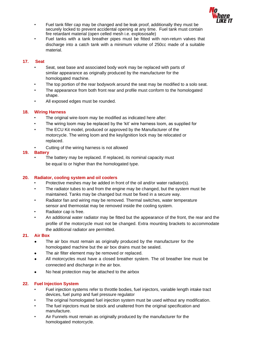

- Fuel tank filler cap may be changed and be leak proof, additionally they must be securely locked to prevent accidental opening at any time. Fuel tank must contain fire retardant material (open celled mesh i.e. explososafe)
- Fuel tanks with a tank breather pipes must be fitted with non-return valves that discharge into a catch tank with a minimum volume of 250cc made of a suitable material.

### **17. Seat**

- Seat, seat base and associated body work may be replaced with parts of similar appearance as originally produced by the manufacturer for the homologated machine.
- The top portion of the rear bodywork around the seat may be modified to a solo seat.
- The appearance from both front rear and profile must conform to the homologated shape.
- All exposed edges must be rounded.

# **18. Wiring Harness**

- The original wire-loom may be modified as indicated here after:
- The wiring loom may be replaced by the 'kit' wire harness loom, as supplied for
- The ECU Kit model, produced or approved by the Manufacturer of the motorcycle. The wiring loom and the key/ignition lock may be relocated or replaced.
- Cutting of the wiring harness is not allowed

# **19. Battery**

The battery may be replaced. If replaced, its nominal capacity must be equal to or higher than the homologated type.

#### **20. Radiator, cooling system and oil coolers**

- Protective meshes may be added in front of the oil and/or water radiator(s).
- The radiator tubes to and from the engine may be changed, but the system must be maintained. Tanks may be changed but must be fixed in a secure way.
- Radiator fan and wiring may be removed. Thermal switches, water temperature sensor and thermostat may be removed inside the cooling system.
- Radiator cap is free.
- An additional water radiator may be fitted but the appearance of the front, the rear and the profile of the motorcycle must not be changed. Extra mounting brackets to accommodate the additional radiator are permitted.

#### **21. Air Box**

- The air box must remain as originally produced by the manufacturer for the homologated machine but the air box drains must be sealed.
- The air filter element may be removed or replaced.
- All motorcycles must have a closed breather system. The oil breather line must be connected and discharge in the air box.
- No heat protection may be attached to the airbox

# **22. Fuel Injection System**

- Fuel injection systems refer to throttle bodies, fuel injectors, variable length intake tract devices, fuel pump and fuel pressure regulator
- The original homologated fuel injection system must be used without any modification.
- The fuel injectors must be stock and unaltered from the original specification and manufacture.
- Air Funnels must remain as originally produced by the manufacturer for the homologated motorcycle.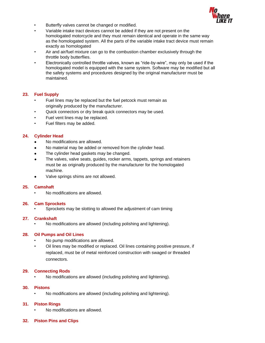

- Butterfly valves cannot be changed or modified.
- Variable intake tract devices cannot be added if they are not present on the homologated motorcycle and they must remain identical and operate in the same way as the homologated system. All the parts of the variable intake tract device must remain exactly as homologated
- Air and air/fuel mixture can go to the combustion chamber exclusively through the throttle body butterflies.
- Electronically controlled throttle valves, known as "ride-by-wire", may only be used if the homologated model is equipped with the same system. Software may be modified but all the safety systems and procedures designed by the original manufacturer must be maintained.

# **23. Fuel Supply**

- Fuel lines may be replaced but the fuel petcock must remain as originally produced by the manufacturer.
- Quick connectors or dry break quick connectors may be used.
- Fuel vent lines may be replaced.
- Fuel filters may be added.

#### **24. Cylinder Head**

- No modifications are allowed.
- No material may be added or removed from the cylinder head.
- The cylinder head gaskets may be changed.
- The valves, valve seats, guides, rocker arms, tappets, springs and retainers must be as originally produced by the manufacturer for the homologated machine.
- Valve springs shims are not allowed.

#### **25. Camshaft**

• No modifications are allowed.

#### **26. Cam Sprockets**

• Sprockets may be slotting to allowed the adjustment of cam timing

#### **27. Crankshaft**

• No modifications are allowed (including polishing and lightening).

#### **28. Oil Pumps and Oil Lines**

- No pump modifications are allowed.
- Oil lines may be modified or replaced. Oil lines containing positive pressure, if replaced, must be of metal reinforced construction with swaged or threaded connectors.

#### **29. Connecting Rods**

• No modifications are allowed (including polishing and lightening).

#### **30. Pistons**

• No modifications are allowed (including polishing and lightening).

#### **31. Piston Rings**

- No modifications are allowed.
- **32. Piston Pins and Clips**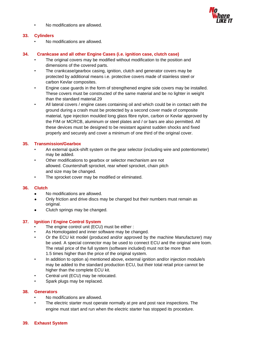

• No modifications are allowed.

#### **33. Cylinders**

• No modifications are allowed.

#### **34. Crankcase and all other Engine Cases (i.e. ignition case, clutch case)**

- The original covers may be modified without modification to the position and dimensions of the covered parts.
- The crankcase/gearbox casing, ignition, clutch and generator covers may be protected by additional means i.e. protective covers made of stainless steel or carbon Kevlar composites.
- Engine case guards in the form of strengthened engine side covers may be installed. These covers must be constructed of the same material and be no lighter in weight than the standard material.29
- All lateral covers / engine cases containing oil and which could be in contact with the ground during a crash must be protected by a second cover made of composite material, type injection moulded long glass fibre nylon, carbon or Kevlar approved by the FIM or MCRCB, aluminum or steel plates and / or bars are also permitted. All these devices must be designed to be resistant against sudden shocks and fixed properly and securely and cover a minimum of one third of the original cover.

#### **35. Transmission/Gearbox**

- An external quick-shift system on the gear selector (including wire and potentiometer) may be added.
- Other modifications to gearbox or selector mechanism are not allowed. Countershaft sprocket, rear wheel sprocket, chain pitch and size may be changed.
- The sprocket cover may be modified or eliminated.

#### **36. Clutch**

- No modifications are allowed.
- Only friction and drive discs may be changed but their numbers must remain as original.
- Clutch springs may be changed.

#### **37. Ignition / Engine Control System**

- The engine control unit (ECU) must be either :
- As Homologated and inner software may be changed.
- Or the ECU kit model (produced and/or approved by the machine Manufacturer) may be used. A special connector may be used to connect ECU and the original wire loom. The retail price of the full system (software included) must not be more than 1.5 times higher than the price of the original system.
- In addition to option a) mentioned above, external ignition and/or injection module/s may be added to the standard production ECU, but their total retail price cannot be higher than the complete ECU kit.
- Central unit (ECU) may be relocated.
- Spark plugs may be replaced.

#### **38. Generators**

- No modifications are allowed.
- The electric starter must operate normally at pre and post race inspections. The engine must start and run when the electric starter has stopped its procedure.

#### **39. Exhaust System**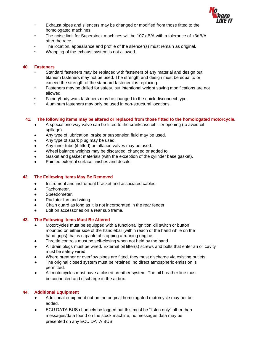

- Exhaust pipes and silencers may be changed or modified from those fitted to the homologated machines.
- The noise limit for Superstock machines will be 107 dB/A with a tolerance of +3dB/A after the race.
- The location, appearance and profile of the silencer(s) must remain as original.
- Wrapping of the exhaust system is not allowed.

#### **40. Fasteners**

- Standard fasteners may be replaced with fasteners of any material and design but titanium fasteners may not be used. The strength and design must be equal to or exceed the strength of the standard fastener it is replacing.
- Fasteners may be drilled for safety, but intentional weight saving modifications are not allowed.
- Fairing/body work fasteners may be changed to the quick disconnect type.
- Aluminum fasteners may only be used in non-structural locations.

# **41. The following items may be altered or replaced from those fitted to the homologated motorcycle.**

- A special one way valve can be fitted to the crankcase oil filler opening (to avoid oil spillage).
- Any type of lubrication, brake or suspension fluid may be used.
- Any type of spark plug may be used.
- Any inner tube (if fitted) or inflation valves may be used.
- Wheel balance weights may be discarded, changed or added to.
- Gasket and gasket materials (with the exception of the cylinder base gasket).
- Painted external surface finishes and decals.

#### **42. The Following Items May Be Removed**

- Instrument and instrument bracket and associated cables.
- Tachometer.
- Speedometer.
- Radiator fan and wiring.
- Chain guard as long as it is not incorporated in the rear fender.
- Bolt on accessories on a rear sub frame.

#### **43. The Following Items Must Be Altered**

- Motorcycles must be equipped with a functional ignition kill switch or button mounted on either side of the handlebar (within reach of the hand while on the hand grips) that is capable of stopping a running engine.
- Throttle controls must be self-closing when not held by the hand.
- All drain plugs must be wired. External oil filter(s) screws and bolts that enter an oil cavity must be safety wired.
- Where breather or overflow pipes are fitted, they must discharge via existing outlets.
- The original closed system must be retained; no direct atmospheric emission is permitted.
- All motorcycles must have a closed breather system. The oil breather line must be connected and discharge in the airbox.

# **44. Additional Equipment**

- Additional equipment not on the original homologated motorcycle may not be added.
- ECU DATA BUS channels be logged but this must be "listen only" other than messages/data found on the stock machine, no messages data may be presented on any ECU DATA BUS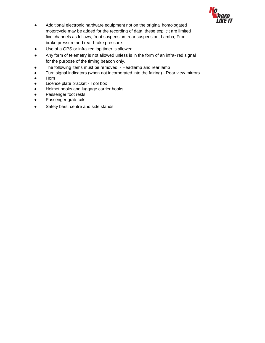

- Additional electronic hardware equipment not on the original homologated motorcycle may be added for the recording of data, these explicit are limited five channels as follows, front suspension, rear suspension, Lamba, Front brake pressure and rear brake pressure.
- Use of a GPS or infra-red lap timer is allowed.
- Any form of telemetry is not allowed unless is in the form of an infra- red signal for the purpose of the timing beacon only.
- The following items must be removed: Headlamp and rear lamp
- Turn signal indicators (when not incorporated into the fairing) Rear view mirrors
- **Horn**
- Licence plate bracket Tool box
- Helmet hooks and luggage carrier hooks
- Passenger foot rests
- Passenger grab rails
- Safety bars, centre and side stands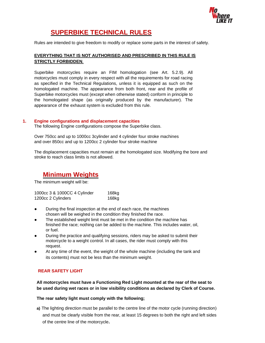

# **SUPERBIKE TECHNICAL RULES**

Rules are intended to give freedom to modify or replace some parts in the interest of safety.

# **EVERYTHING THAT IS NOT AUTHORISED AND PRESCRIBED IN THIS RULE IS STRICTLY FORBIDDEN***.*

Superbike motorcycles require an FIM homologation (see Art. 5.2.9). All motorcycles must comply in every respect with all the requirements for road racing as specified in the Technical Regulations, unless it is equipped as such on the homologated machine. The appearance from both front, rear and the profile of Superbike motorcycles must (except when otherwise stated) conform in principle to the homologated shape (as originally produced by the manufacturer). The appearance of the exhaust system is excluded from this rule.

#### **1. Engine configurations and displacement capacities**

The following Engine configurations compose the Superbike class.

Over 750cc and up to 1000cc 3cylinder and 4 cylinder four stroke machines and over 850cc and up to 1200cc 2 cylinder four stroke machine

The displacement capacities must remain at the homologated size. Modifying the bore and stroke to reach class limits is not allowed.

# **Minimum Weights**

The minimum weight will be:

1000cc 3 & 1000CC 4 Cylinder 168kg 1200cc 2 Cylinders 168kg

- During the final inspection at the end of each race, the machines chosen will be weighed in the condition they finished the race.
- The established weight limit must be met in the condition the machine has finished the race; nothing can be added to the machine. This includes water, oil, or fuel.
- During the practice and qualifying sessions, riders may be asked to submit their motorcycle to a weight control. In all cases, the rider must comply with this request.
- At any time of the event, the weight of the whole machine (including the tank and its contents) must not be less than the minimum weight.

#### **REAR SAFETY LIGHT**

**All motorcycles must have a Functioning Red Light mounted at the rear of the seat to be used during wet races or in low visibility conditions as declared by Clerk of Course.**

#### **The rear safety light must comply with the following;**

**a)** The lighting direction must be parallel to the centre line of the motor cycle (running direction) and must be clearly visible from the rear, at least 15 degrees to both the right and left sides of the centre line of the motorcycle**.**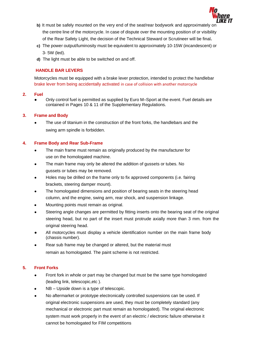

- **b)** It must be safely mounted on the very end of the seat/rear bodywork and approximately on the centre line of the motorcycle. In case of dispute over the mounting position of or visibility of the Rear Safety Light, the decision of the Technical Steward or Scrutineer will be final**.**
- **c)** The power output/luminosity must be equivalent to approximately 10-15W (incandescent) or 3- 5W (led).
- **d)** The light must be able to be switched on and off.

# **HANDLE BAR LEVERS**

Motorcycles must be equipped with a brake lever protection, intended to protect the handlebar brake lever from being accidentally activated in case of collision with another motorcycle

#### **2. Fuel**

Only control fuel is permitted as supplied by Euro M-Sport at the event. Fuel details are contained in Pages 10 & 11 of the Supplementary Regulations.

#### **3. Frame and Body**

The use of titanium in the construction of the front forks, the handlebars and the swing arm spindle is forbidden.

#### **4. Frame Body and Rear Sub-Frame**

- The main frame must remain as originally produced by the manufacturer for use on the homologated machine.
- The main frame may only be altered the addition of gussets or tubes. No gussets or tubes may be removed.
- Holes may be drilled on the frame only to fix approved components (i.e. fairing brackets, steering damper mount).
- The homologated dimensions and position of bearing seats in the steering head column, and the engine, swing arm, rear shock, and suspension linkage.
- Mounting points must remain as original.
- Steering angle changes are permitted by fitting inserts onto the bearing seat of the original steering head, but no part of the insert must protrude axially more than 3 mm. from the original steering head.
- All motorcycles must display a vehicle identification number on the main frame body (chassis number).
- Rear sub frame may be changed or altered, but the material must remain as homologated. The paint scheme is not restricted.

#### **5. Front Forks**

- Front fork in whole or part may be changed but must be the same type homologated (leading link, telescopic,etc ).
- $NB Upside$  down is a type of telescopic.
- No aftermarket or prototype electronically controlled suspensions can be used. If original electronic suspensions are used, they must be completely standard (any mechanical or electronic part must remain as homologated). The original electronic system must work properly in the event of an electric / electronic failure otherwise it cannot be homologated for FIM competitions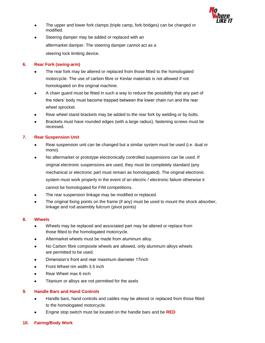

- The upper and lower fork clamps (triple camp, fork bridges) can be changed or modified.
- Steering damper may be added or replaced with an aftermarket damper. The steering damper cannot act as a steering lock limiting device.

### **6. Rear Fork (swing-arm)**

- The rear fork may be altered or replaced from those fitted to the homologated motorcycle. The use of carbon fibre or Kevlar materials is not allowed if not homologated on the original machine.
- A chain guard must be fitted in such a way to reduce the possibility that any part of the riders' body must become trapped between the lower chain run and the rear wheel sprocket.
- Rear wheel stand brackets may be added to the rear fork by welding or by bolts.
- Brackets must have rounded edges (with a large radius), fastening screws must be recessed.

# **7. Rear Suspension Unit**

- Rear suspension unit can be changed but a similar system must be used (i.e. dual or mono).
- No aftermarket or prototype electronically controlled suspensions can be used. If original electronic suspensions are used, they must be completely standard (any mechanical or electronic part must remain as homologated). The original electronic system must work properly in the event of an electric / electronic failure otherwise it cannot be homologated for FIM competitions.
- The rear suspension linkage may be modified or replaced.
- The original fixing points on the frame (if any) must be used to mount the shock absorber, linkage and rod assembly fulcrum (pivot points)

#### **8. Wheels**

- Wheels may be replaced and associated part may be altered or replace from those fitted to the homologated motorcycle.
- Aftermarket wheels must be made from aluminum alloy.
- No Carbon fibre composite wheels are allowed, only aluminum alloys wheels are permitted to be used.
- Dimension's front and rear maximum diameter 17inch
- Front Wheel rim width 3.5 inch
- Rear Wheel max 6 inch
- Titanium or alloys are not permitted for the axels

#### **9. Handle Bars and Hand Controls**

- Handle bars, hand controls and cables may be altered or replaced from those fitted to the homologated motorcycle.
- Engine stop switch must be located on the handle bars and be **RED**
- **10. Fairing/Body Work**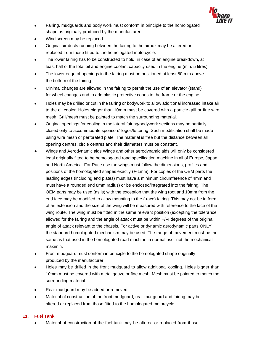

- Fairing, mudguards and body work must conform in principle to the homologated shape as originally produced by the manufacturer.
- Wind screen may be replaced.
- Original air ducts running between the fairing to the airbox may be altered or replaced from those fitted to the homologated motorcycle.
- The lower fairing has to be constructed to hold, in case of an engine breakdown, at least half of the total oil and engine coolant capacity used in the engine (min. 5 litres).
- The lower edge of openings in the fairing must be positioned at least 50 mm above the bottom of the fairing.
- Minimal changes are allowed in the fairing to permit the use of an elevator (stand) for wheel changes and to add plastic protective cones to the frame or the engine.
- Holes may be drilled or cut in the fairing or bodywork to allow additional increased intake air to the oil cooler. Holes bigger than 10mm must be covered with a particle grill or fine wire mesh. Grill/mesh must be painted to match the surrounding material.
- Original openings for cooling in the lateral fairing/bodywork sections may be partially closed only to accommodate sponsors' logos/lettering. Such modification shall be made using wire mesh or perforated plate. The material is free but the distance between all opening centres, circle centres and their diameters must be constant.
- Wings and Aerodynamic aids Wings and other aerodynamic aids will only be considered legal originally fitted to be homologated road specification machine in all of Europe, Japan and North America. For Race use the wings must follow the dimensions, profiles and positions of the homologated shapes exactly (+-1mm). For copies of the OEM parts the leading edges (including end plates) must have a minimum circumference of 4mm and must have a rounded end 8mm radius) or be enclosed/integrated into the fairing. The OEM parts may be used (as is) with the exception that the wing root and 10mm from the end face may be modified to allow mounting to the ( race) fairing. This may not be in form of an extension and the size of the wing will be measured with reference to the face of the wing route. The wing must be fitted in the same relevant position (excepting the tolerance allowed for the fairing and the angle of attack must be within +/-4 degrees of the original angle of attack relevant to the chassis. For active or dynamic aerodynamic parts ONLY the standard homologated mechanism may be used. The range of movement must be the same as that used in the homologated road machine in normal use- not the mechanical maximin.
- Front mudguard must conform in principle to the homologated shape originally produced by the manufacturer.
- Holes may be drilled in the front mudguard to allow additional cooling. Holes bigger than 10mm must be covered with metal gauze or fine mesh. Mesh must be painted to match the surrounding material.
- Rear mudguard may be added or removed.
- Material of construction of the front mudguard, rear mudguard and fairing may be altered or replaced from those fitted to the homologated motorcycle.

#### **11. Fuel Tank**

Material of construction of the fuel tank may be altered or replaced from those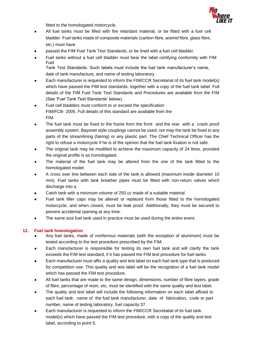

fitted to the homologated motorcycle.

- All fuel tanks must be filled with fire retardant material, or be fitted with a fuel cell bladder. Fuel tanks made of composite materials (carbon fibre, aramid fibre, glass fibre, etc.) must have
- passed the FIM Fuel Tank Test Standards, or be lined with a fuel cell bladder.
- Fuel tanks without a fuel cell bladder must bear the label certifying conformity with FIM Fuel

Tank Test Standards. Such labels must include the fuel tank manufacturer's name, date of tank manufacture, and name of testing laboratory.

- Each manufacturer is requested to inform the FIM/CCR Secretariat of its fuel tank model(s) which have passed the FIM test standards, together with a copy of the fuel tank label. Full details of the FIM Fuel Tank Test Standards and Procedures are available from the FIM (See 'Fuel Tank Test Standards' below).
- Fuel cell bladders must conform to or exceed the specification FIM/FCB- 2005. Full details of this standard are available from the FIM.
- The fuel tank must be fixed to the frame from the front and the rear with a crash proof assembly system. Bayonet style couplings cannot be used, nor may the tank be fixed to any parts of the streamlining (fairing) or any plastic part. The Chief Technical Officer has the right to refuse a motorcycle if he is of the opinion that the fuel tank fixation is not safe.
- The original tank may be modified to achieve the maximum capacity of 24 litres, provided the original profile is as homologated.
- The material of the fuel tank may be altered from the one of the tank fitted to the homologated model.
- A cross over line between each side of the tank is allowed (maximum inside diameter 10 mm). Fuel tanks with tank breather pipes must be fitted with non-return valves which discharge into a
- Catch tank with a minimum volume of 250 cc made of a suitable material.
- Fuel tank filler caps may be altered or replaced from those fitted to the homologated motorcycle, and when closed, must be leak proof. Additionally, they must be secured to prevent accidental opening at any time.
- The same size fuel tank used in practice must be used during the entire event.

#### **12. Fuel tank homologation**

- Any fuel tanks, made of nonferrous materials (with the exception of aluminum) must be tested according to the test procedure prescribed by the FIM.
- Each manufacturer is responsible for testing its own fuel tank and will clarify the tank exceeds the FIM test standard, if it has passed the FIM test procedure for fuel tanks.
- Each manufacturer must affix a quality and test label on each fuel tank type that is produced for competition use. This quality and test label will be the recognition of a fuel tank model which has passed the FIM test procedure.
- All fuel tanks that are made to the same design, dimensions, number of fibre layers, grade of fibre, percentage of resin, etc, must be identified with the same quality and test label.
- The quality and test label will include the following information on each label affixed to each fuel tank: name of the fuel tank manufacturer, date of fabrication, code or part number, name of testing laboratory, fuel capacity.37
- Each manufacturer is requested to inform the FIM/CCR Secretatiat of its fuel tank model(s) which have passed the FIM test procedure, with a copy of the quality and test label, according to point 5.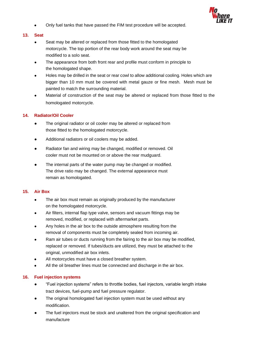

Only fuel tanks that have passed the FIM test procedure will be accepted.

#### **13. Seat**

- Seat may be altered or replaced from those fitted to the homologated motorcycle. The top portion of the rear body work around the seat may be modified to a solo seat.
- The appearance from both front rear and profile must conform in principle to the homologated shape.
- Holes may be drilled in the seat or rear cowl to allow additional cooling. Holes which are bigger than 10 mm must be covered with metal gauze or fine mesh. Mesh must be painted to match the surrounding material.
- Material of construction of the seat may be altered or replaced from those fitted to the homologated motorcycle.

# **14. Radiator/Oil Cooler**

- The original radiator or oil cooler may be altered or replaced from those fitted to the homologated motorcycle.
- Additional radiators or oil coolers may be added.
- Radiator fan and wiring may be changed, modified or removed. Oil cooler must not be mounted on or above the rear mudguard.
- The internal parts of the water pump may be changed or modified. The drive ratio may be changed. The external appearance must remain as homologated.

# **15. Air Box**

- The air box must remain as originally produced by the manufacturer on the homologated motorcycle.
- Air filters, internal flap type valve, sensors and vacuum fittings may be removed, modified, or replaced with aftermarket parts.
- Any holes in the air box to the outside atmosphere resulting from the removal of components must be completely sealed from incoming air.
- Ram air tubes or ducts running from the fairing to the air box may be modified, replaced or removed. If tubes/ducts are utilized, they must be attached to the original, unmodified air box inlets.
- All motorcycles must have a closed breather system.
- All the oil breather lines must be connected and discharge in the air box.

#### **16. Fuel injection systems**

- "Fuel injection systems" refers to throttle bodies, fuel injectors, variable length intake tract devices, fuel-pump and fuel pressure regulator.
- The original homologated fuel injection system must be used without any modification.
- The fuel injectors must be stock and unaltered from the original specification and manufacture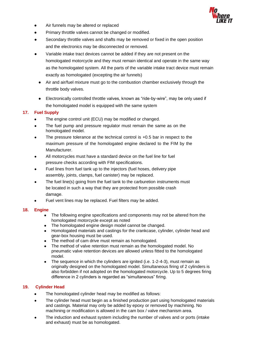

- Air funnels may be altered or replaced
- Primary throttle valves cannot be changed or modified.
- Secondary throttle valves and shafts may be removed or fixed in the open position and the electronics may be disconnected or removed.
- Variable intake tract devices cannot be added if they are not present on the homologated motorcycle and they must remain identical and operate in the same way as the homologated system. All the parts of the variable intake tract device must remain exactly as homologated (excepting the air funnels)
	- Air and air/fuel mixture must go to the combustion chamber exclusively through the throttle body valves.
	- Electronically controlled throttle valves, known as "ride-by-wire", may be only used if the homologated model is equipped with the same system

#### **17. Fuel Supply**

- The engine control unit (ECU) may be modified or changed.
- The fuel pump and pressure regulator must remain the same as on the homologated model.
- The pressure tolerance at the technical control is  $+0.5$  bar in respect to the maximum pressure of the homologated engine declared to the FIM by the Manufacturer.
- All motorcycles must have a standard device on the fuel line for fuel pressure checks according with FIM specifications.
- Fuel lines from fuel tank up to the injectors (fuel hoses, delivery pipe assembly, joints, clamps, fuel canister) may be replaced.
- The fuel line(s) going from the fuel tank to the carburetion instruments must be located in such a way that they are protected from possible crash damage.
- Fuel vent lines may be replaced. Fuel filters may be added.

#### **18. Engine**

- The following engine specifications and components may not be altered from the homologated motorcycle except as noted
- The homologated engine design model cannot be changed.
- Homologated materials and castings for the crankcase, cylinder, cylinder head and gear-box housing must be used.
- The method of cam drive must remain as homologated.
- The method of valve retention must remain as the homologated model. No pneumatic valve retention devices are allowed unless fitted to the homologated model.
- The sequence in which the cylinders are ignited (i.e. 1-2-4-3), must remain as originally designed on the homologated model. Simultaneous firing of 2 cylinders is also forbidden if not adopted on the homologated motorcycle. Up to 5 degrees firing difference in 2 cylinders is regarded as "simultaneous" firing.

# **19. Cylinder Head**

- The homologated cylinder head may be modified as follows:
- The cylinder head must begin as a finished production part using homologated materials and castings. Material may only be added by epoxy or removed by machining. No machining or modification is allowed in the cam box / valve mechanism area.
- The induction and exhaust system including the number of valves and or ports (intake and exhaust) must be as homologated.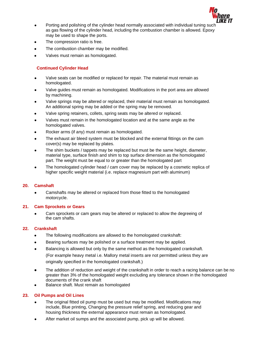

- Porting and polishing of the cylinder head normally associated with individual tuning such as gas flowing of the cylinder head, including the combustion chamber is allowed. Epoxy may be used to shape the ports.
- The compression ratio is free.
- The combustion chamber may be modified.
- Valves must remain as homologated.

# **Continued Cylinder Head**

- Valve seats can be modified or replaced for repair. The material must remain as homologated.
- Valve guides must remain as homologated. Modifications in the port area are allowed by machining.
- Valve springs may be altered or replaced, their material must remain as homologated. An additional spring may be added or the spring may be removed.
- Valve spring retainers, collets, spring seats may be altered or replaced.
- Valves must remain in the homologated location and at the same angle as the homologated valves.
- Rocker arms (if any) must remain as homologated.
- The exhaust air bleed system must be blocked and the external fittings on the cam cover(s) may be replaced by plates.
- The shim buckets / tappets may be replaced but must be the same height, diameter, material type, surface finish and shim to top surface dimension as the homologated part. The weight must be equal to or greater than the homologated part
- The homologated cylinder head / cam cover may be replaced by a cosmetic replica of higher specific weight material (i.e. replace magnesium part with aluminum)

#### **20. Camshaft**

Camshafts may be altered or replaced from those fitted to the homologated motorcycle.

#### **21. Cam Sprockets or Gears**

Cam sprockets or cam gears may be altered or replaced to allow the degreeing of the cam shafts.

#### **22. Crankshaft**

- The following modifications are allowed to the homologated crankshaft:
- Bearing surfaces may be polished or a surface treatment may be applied.
- Balancing is allowed but only by the same method as the homologated crankshaft. (For example heavy metal i.e. Mallory metal inserts are not permitted unless they are originally specified in the homologated crankshaft.)
- The addition of reduction and weight of the crankshaft in order to reach a racing balance can be no greater than 3% of the homologated weight excluding any tolerance shown in the homologated documents of the crank shaft
- Balance shaft. Must remain as homologated

#### **23. Oil Pumps and Oil Lines**

- The original fitted oil pump must be used but may be modified. Modifications may include, Blue printing, Changing the pressure relief spring, and reducing gear and housing thickness the external appearance must remain as homologated.
- After market oil sumps and the associated pump, pick up will be allowed.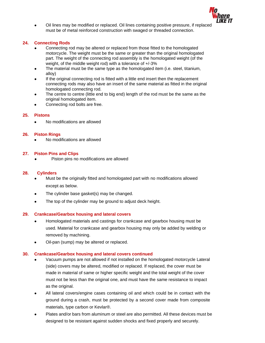

Oil lines may be modified or replaced. Oil lines containing positive pressure, if replaced must be of metal reinforced construction with swaged or threaded connection.

#### **24. Connecting Rods**

- Connecting rod may be altered or replaced from those fitted to the homologated motorcycle. The weight must be the same or greater than the original homologated part. The weight of the connecting rod assembly is the homologated weight (of the weight, of the middle weight rod) with a tolerance of +/-3%
- The material must be the same type as the homologated item (i.e. steel, titanium, alloy)
- If the original connecting rod is fitted with a little end insert then the replacement connecting rods may also have an insert of the same material as fitted in the original homologated connecting rod.
- The centre to centre (little end to big end) length of the rod must be the same as the original homologated item.
- Connecting rod bolts are free.

#### **25. Pistons**

No modifications are allowed

#### **26. Piston Rings**

No modifications are allowed

#### **27. Piston Pins and Clips**

Piston pins no modifications are allowed

#### **28. Cylinders**

- Must be the originally fitted and homologated part with no modifications allowed except as below.
- The cylinder base gasket(s) may be changed.
- The top of the cylinder may be ground to adjust deck height.

#### **29. Crankcase/Gearbox housing and lateral covers**

- Homologated materials and castings for crankcase and gearbox housing must be used. Material for crankcase and gearbox housing may only be added by welding or removed by machining.
- Oil-pan (sump) may be altered or replaced.

#### **30. Crankcase/Gearbox housing and lateral covers continued**

- Vacuum pumps are not allowed if not installed on the homologated motorcycle Lateral (side) covers may be altered, modified or replaced. If replaced, the cover must be made in material of same or higher specific weight and the total weight of the cover must not be less than the original one, and must have the same resistance to impact as the original.
- All lateral covers/engine cases containing oil and which could be in contact with the ground during a crash, must be protected by a second cover made from composite materials, type carbon or Kevlar®.
- Plates and/or bars from aluminum or steel are also permitted. All these devices must be designed to be resistant against sudden shocks and fixed properly and securely.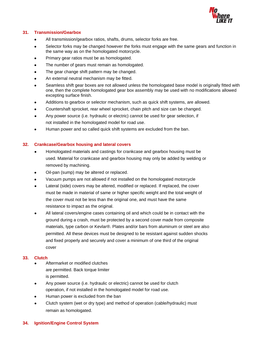

# **31. Transmission/Gearbox**

- All transmission/gearbox ratios, shafts, drums, selector forks are free.
- Selector forks may be changed however the forks must engage with the same gears and function in the same way as on the homologated motorcycle.
- Primary gear ratios must be as homologated.
- The number of gears must remain as homologated.
- The gear change shift pattern may be changed.
- An external neutral mechanism may be fitted.
- Seamless shift gear boxes are not allowed unless the homologated base model is originally fitted with one, then the complete homologated gear box assembly may be used with no modifications allowed excepting surface finish.
- Additions to gearbox or selector mechanism, such as quick shift systems, are allowed.
- Countershaft sprocket, rear wheel sprocket, chain pitch and size can be changed.
- Any power source (i.e. hydraulic or electric) cannot be used for gear selection, if not installed in the homologated model for road use.
- Human power and so called quick shift systems are excluded from the ban.

# **32. Crankcase/Gearbox housing and lateral covers**

- Homologated materials and castings for crankcase and gearbox housing must be used. Material for crankcase and gearbox housing may only be added by welding or removed by machining.
- Oil-pan (sump) may be altered or replaced.
- Vacuum pumps are not allowed if not installed on the homologated motorcycle
- Lateral (side) covers may be altered, modified or replaced. If replaced, the cover must be made in material of same or higher specific weight and the total weight of the cover must not be less than the original one, and must have the same resistance to impact as the original.
- All lateral covers/engine cases containing oil and which could be in contact with the ground during a crash, must be protected by a second cover made from composite materials, type carbon or Kevlar®. Plates and/or bars from aluminum or steel are also permitted. All these devices must be designed to be resistant against sudden shocks and fixed properly and securely and cover a minimum of one third of the original cover

#### **33. Clutch**

- Aftermarket or modified clutches are permitted. Back torque limiter is permitted.
- Any power source (i.e. hydraulic or electric) cannot be used for clutch operation, if not installed in the homologated model for road use.
- Human power is excluded from the ban
- Clutch system (wet or dry type) and method of operation (cable/hydraulic) must remain as homologated.

#### **34. Ignition/Engine Control System**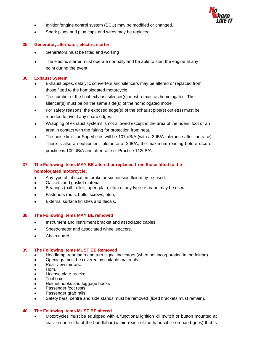

- Ignition/engine control system (ECU) may be modified or changed.
- Spark plugs and plug caps and wires may be replaced.

#### **35. Generator, alternator, electric starter**

- Generators must be fitted and working
- The electric starter must operate normally and be able to start the engine at any point during the event.

#### **36. Exhaust System**

- Exhaust pipes, catalytic converters and silencers may be altered or replaced from those fitted to the homologated motorcycle.
- The number of the final exhaust silencer(s) must remain as homologated. The silencer(s) must be on the same side(s) of the homologated model.
- For safety reasons, the exposed edge(s) of the exhaust pipe(s) outlet(s) must be rounded to avoid any sharp edges.
- Wrapping of exhaust systems is not allowed except in the area of the riders' foot or an area in contact with the fairing for protection from heat.
- The noise limit for Superbikes will be 107 dB/A (with a 3dB/A tolerance after the race). There is also an equipment tolerance of 2dB/A, the maximum reading before race or practice is 109 dB/A and after race or Practice 112dB/A

# **37. The Following items MAY BE altered or replaced from those fitted to the**

#### **homologated motorcycle.**

- Any type of lubrication, brake or suspension fluid may be used.
- Gaskets and gasket material.
- Bearings (ball, roller, taper, plain, etc.) of any type or brand may be used.
- Fasteners (nuts, bolts, screws, etc.),
- External surface finishes and decals.

#### **38. The Following items MAY BE removed**

- Instrument and instrument bracket and associated cables.
- Speedometer and associated wheel spacers.
- Chain guard

#### **39. The Following Items MUST BE Removed**

- Headlamp, rear lamp and turn signal indicators (when not incorporating in the fairing).
- Openings must be covered by suitable materials.
- Rear-view mirrors.
- Horn.
- License plate bracket.
- Tool box.
- Helmet hooks and luggage hooks
- Passenger foot rests.
- Passenger grab rails.
- Safety bars, centre and side stands must be removed (fixed brackets must remain).

#### **40. The Following items MUST BE altered**

Motorcycles must be equipped with a functional ignition kill switch or button mounted at least on one side of the handlebar (within reach of the hand while on hand grips) that is